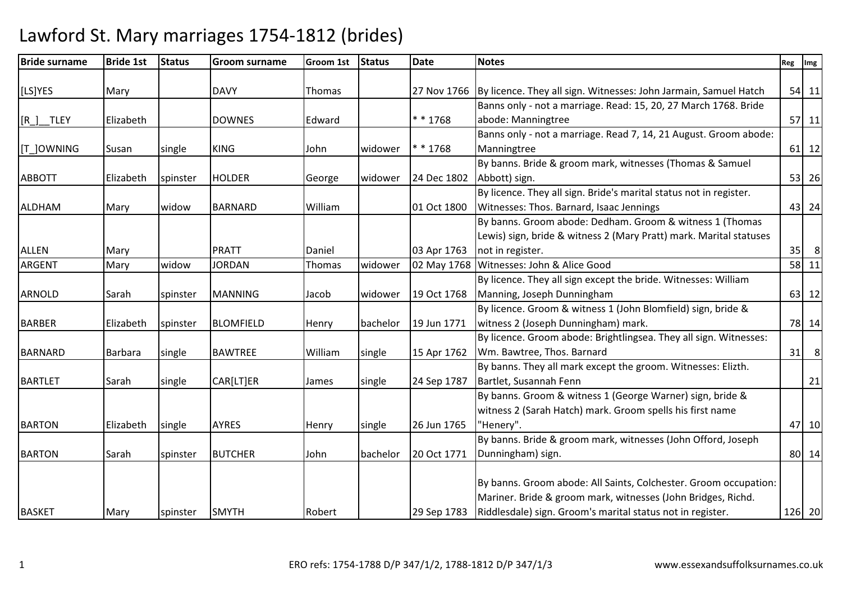| <b>Bride surname</b> | <b>Bride 1st</b> | <b>Status</b> | <b>Groom surname</b> | Groom 1st | <b>Status</b> | Date        | <b>Notes</b>                                                                                                                                                                                                 | Reg Img |                |
|----------------------|------------------|---------------|----------------------|-----------|---------------|-------------|--------------------------------------------------------------------------------------------------------------------------------------------------------------------------------------------------------------|---------|----------------|
| [LS]YES              | Mary             |               | <b>DAVY</b>          | Thomas    |               | 27 Nov 1766 | By licence. They all sign. Witnesses: John Jarmain, Samuel Hatch                                                                                                                                             |         | 54 11          |
| $[R_$ TLEY           | Elizabeth        |               | <b>DOWNES</b>        | Edward    |               | * * 1768    | Banns only - not a marriage. Read: 15, 20, 27 March 1768. Bride<br>abode: Manningtree                                                                                                                        |         | $57$ 11        |
| [T_]OWNING           | Susan            | single        | <b>KING</b>          | John      | widower       | * * 1768    | Banns only - not a marriage. Read 7, 14, 21 August. Groom abode:<br>Manningtree                                                                                                                              |         | $61$   12      |
| <b>ABBOTT</b>        | Elizabeth        | spinster      | <b>HOLDER</b>        | George    | widower       | 24 Dec 1802 | By banns. Bride & groom mark, witnesses (Thomas & Samuel<br>Abbott) sign.                                                                                                                                    |         | 53 26          |
| <b>ALDHAM</b>        | Mary             | widow         | <b>BARNARD</b>       | William   |               | 01 Oct 1800 | By licence. They all sign. Bride's marital status not in register.<br>Witnesses: Thos. Barnard, Isaac Jennings                                                                                               |         | 43 24          |
| <b>ALLEN</b>         | Mary             |               | <b>PRATT</b>         | Daniel    |               | 03 Apr 1763 | By banns. Groom abode: Dedham. Groom & witness 1 (Thomas<br>Lewis) sign, bride & witness 2 (Mary Pratt) mark. Marital statuses<br>not in register.                                                           |         | $35$ 8         |
| <b>ARGENT</b>        | Mary             | widow         | <b>JORDAN</b>        | Thomas    | widower       | 02 May 1768 | Witnesses: John & Alice Good                                                                                                                                                                                 |         | $58$ 11        |
| <b>ARNOLD</b>        | Sarah            | spinster      | <b>MANNING</b>       | Jacob     | widower       | 19 Oct 1768 | By licence. They all sign except the bride. Witnesses: William<br>Manning, Joseph Dunningham                                                                                                                 |         | 63 12          |
| <b>BARBER</b>        | Elizabeth        | spinster      | <b>BLOMFIELD</b>     | Henry     | bachelor      | 19 Jun 1771 | By licence. Groom & witness 1 (John Blomfield) sign, bride &<br>witness 2 (Joseph Dunningham) mark.                                                                                                          |         | 78 14          |
| <b>BARNARD</b>       | Barbara          | single        | <b>BAWTREE</b>       | William   | single        | 15 Apr 1762 | By licence. Groom abode: Brightlingsea. They all sign. Witnesses:<br>Wm. Bawtree, Thos. Barnard                                                                                                              | 31      | 8 <sup>8</sup> |
| <b>BARTLET</b>       | Sarah            | single        | CAR[LT]ER            | James     | single        | 24 Sep 1787 | By banns. They all mark except the groom. Witnesses: Elizth.<br>Bartlet, Susannah Fenn                                                                                                                       |         | 21             |
| <b>BARTON</b>        | Elizabeth        | single        | <b>AYRES</b>         | Henry     | single        | 26 Jun 1765 | By banns. Groom & witness 1 (George Warner) sign, bride &<br>witness 2 (Sarah Hatch) mark. Groom spells his first name<br>"Henery".                                                                          |         | 47 10          |
| <b>BARTON</b>        | Sarah            | spinster      | <b>BUTCHER</b>       | John      | bachelor      | 20 Oct 1771 | By banns. Bride & groom mark, witnesses (John Offord, Joseph<br>Dunningham) sign.                                                                                                                            |         | 80 14          |
| <b>BASKET</b>        | Mary             | spinster      | <b>SMYTH</b>         | Robert    |               |             | By banns. Groom abode: All Saints, Colchester. Groom occupation:<br>Mariner. Bride & groom mark, witnesses (John Bridges, Richd.<br>29 Sep 1783   Riddlesdale) sign. Groom's marital status not in register. |         | 126 20         |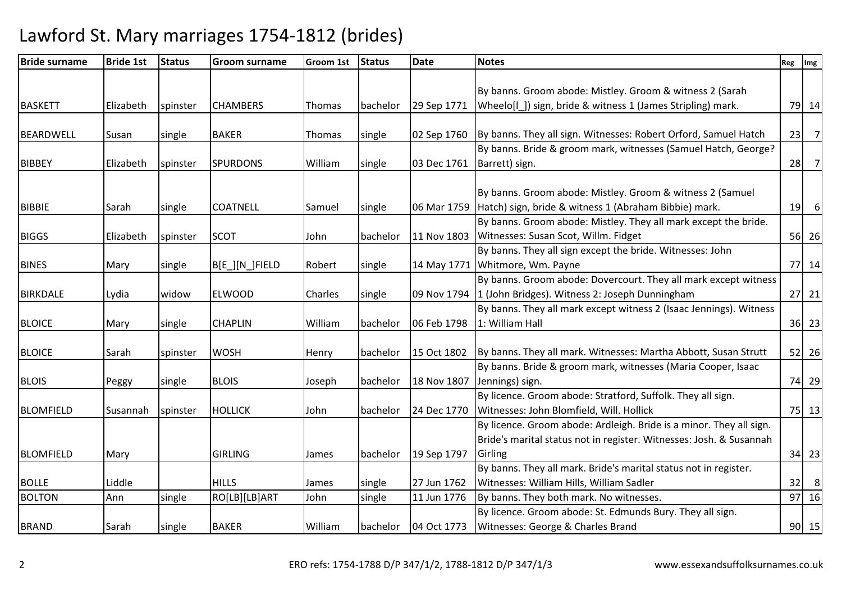| <b>Bride surname</b> | <b>Bride 1st</b> | <b>Status</b> | <b>Groom surname</b> | <b>Groom 1st</b> | <b>Status</b> | <b>Date</b>            | <b>Notes</b>                                                                  | Reg Img |                |
|----------------------|------------------|---------------|----------------------|------------------|---------------|------------------------|-------------------------------------------------------------------------------|---------|----------------|
|                      |                  |               |                      |                  |               |                        |                                                                               |         |                |
|                      |                  |               |                      |                  |               |                        | By banns. Groom abode: Mistley. Groom & witness 2 (Sarah                      |         |                |
| <b>BASKETT</b>       | Elizabeth        | spinster      | <b>CHAMBERS</b>      | Thomas           | bachelor      | 29 Sep 1771            | Wheelo[I]) sign, bride & witness 1 (James Stripling) mark.                    |         | 79 14          |
|                      |                  |               |                      |                  |               |                        |                                                                               |         |                |
| <b>BEARDWELL</b>     | Susan            | single        | <b>BAKER</b>         | Thomas           | single        |                        | 02 Sep 1760   By banns. They all sign. Witnesses: Robert Orford, Samuel Hatch | 23      | $\overline{7}$ |
|                      |                  |               |                      |                  |               |                        | By banns. Bride & groom mark, witnesses (Samuel Hatch, George?                |         |                |
| <b>BIBBEY</b>        | Elizabeth        | spinster      | <b>SPURDONS</b>      | William          | single        | 03 Dec 1761            | Barrett) sign.                                                                | 28      | $\overline{7}$ |
|                      |                  |               |                      |                  |               |                        |                                                                               |         |                |
|                      |                  |               |                      |                  |               |                        | By banns. Groom abode: Mistley. Groom & witness 2 (Samuel                     |         |                |
| <b>BIBBIE</b>        | Sarah            | single        | <b>COATNELL</b>      | Samuel           | single        |                        | 06 Mar 1759 Hatch) sign, bride & witness 1 (Abraham Bibbie) mark.             | 19      | 6              |
|                      |                  |               |                      |                  |               |                        | By banns. Groom abode: Mistley. They all mark except the bride.               |         |                |
| <b>BIGGS</b>         | Elizabeth        | spinster      | <b>SCOT</b>          | John             | bachelor      | 11 Nov 1803            | Witnesses: Susan Scot, Willm. Fidget                                          |         | 56 26          |
|                      |                  |               |                      |                  |               |                        | By banns. They all sign except the bride. Witnesses: John                     |         |                |
| <b>BINES</b>         | Mary             | single        | B[E_][N_]FIELD       | Robert           | single        | 14 May 1771            | Whitmore, Wm. Payne                                                           |         | 77 14          |
|                      |                  |               |                      |                  |               |                        | By banns. Groom abode: Dovercourt. They all mark except witness               |         |                |
| <b>BIRKDALE</b>      | Lydia            | widow         | <b>ELWOOD</b>        | Charles          | single        | 09 Nov 1794            | 1 (John Bridges). Witness 2: Joseph Dunningham                                |         | $27$ 21        |
|                      |                  |               |                      |                  |               |                        | By banns. They all mark except witness 2 (Isaac Jennings). Witness            |         |                |
| <b>BLOICE</b>        | Mary             | single        | <b>CHAPLIN</b>       | William          | bachelor      | 06 Feb 1798            | 1: William Hall                                                               |         | $36$ 23        |
|                      |                  |               |                      |                  |               |                        |                                                                               |         |                |
| <b>BLOICE</b>        | Sarah            | spinster      | <b>WOSH</b>          | Henry            | bachelor      | 15 Oct 1802            | By banns. They all mark. Witnesses: Martha Abbott, Susan Strutt               |         | 52 26          |
|                      |                  |               |                      |                  |               |                        | By banns. Bride & groom mark, witnesses (Maria Cooper, Isaac                  |         |                |
| <b>BLOIS</b>         | Peggy            | single        | <b>BLOIS</b>         | Joseph           | bachelor      | 18 Nov 1807            | Jennings) sign.                                                               |         | 74 29          |
|                      |                  |               |                      |                  |               |                        | By licence. Groom abode: Stratford, Suffolk. They all sign.                   |         |                |
| <b>BLOMFIELD</b>     | Susannah         | spinster      | <b>HOLLICK</b>       | John             | bachelor      | 24 Dec 1770            | Witnesses: John Blomfield, Will. Hollick                                      |         | 75 13          |
|                      |                  |               |                      |                  |               |                        | By licence. Groom abode: Ardleigh. Bride is a minor. They all sign.           |         |                |
|                      |                  |               |                      |                  |               |                        | Bride's marital status not in register. Witnesses: Josh. & Susannah           |         |                |
| <b>BLOMFIELD</b>     | Mary             |               | <b>GIRLING</b>       | James            | bachelor      | 19 Sep 1797            | Girling                                                                       |         | 34 23          |
|                      |                  |               |                      |                  |               |                        | By banns. They all mark. Bride's marital status not in register.              |         |                |
| <b>BOLLE</b>         | Liddle           |               | <b>HILLS</b>         | James            | single        | 27 Jun 1762            | Witnesses: William Hills, William Sadler                                      | 32      | 8              |
| <b>BOLTON</b>        | Ann              | single        | RO[LB][LB]ART        | John             | single        | 11 Jun 1776            | By banns. They both mark. No witnesses.                                       |         | 97 16          |
|                      |                  |               |                      |                  |               |                        | By licence. Groom abode: St. Edmunds Bury. They all sign.                     |         |                |
| <b>BRAND</b>         | Sarah            | single        | <b>BAKER</b>         | William          |               | bachelor   04 Oct 1773 | Witnesses: George & Charles Brand                                             |         | $90$ 15        |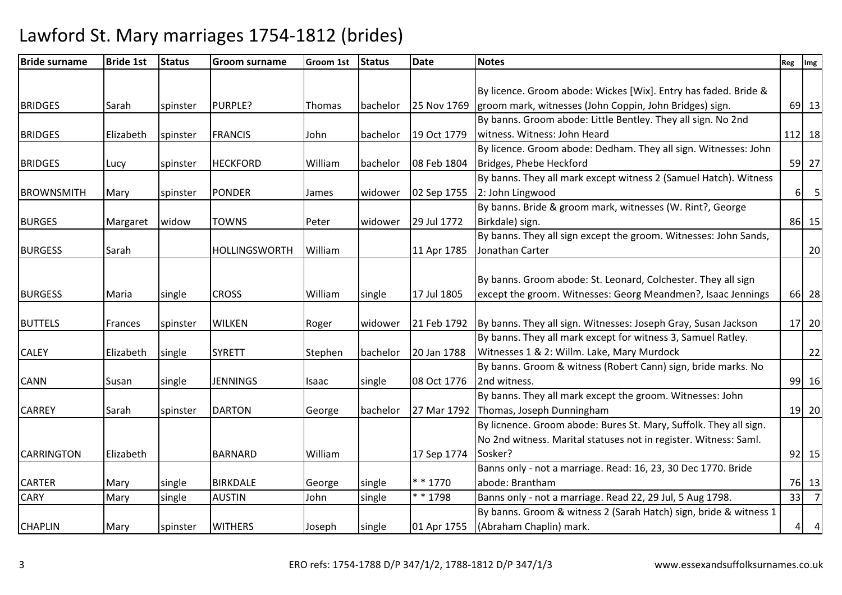| <b>Bride surname</b> | <b>Bride 1st</b> | <b>Status</b> | <b>Groom surname</b> | <b>Groom 1st</b> | <b>Status</b> | <b>Date</b> | <b>Notes</b>                                                      | Reg | Img            |
|----------------------|------------------|---------------|----------------------|------------------|---------------|-------------|-------------------------------------------------------------------|-----|----------------|
|                      |                  |               |                      |                  |               |             |                                                                   |     |                |
|                      |                  |               |                      |                  |               |             | By licence. Groom abode: Wickes [Wix]. Entry has faded. Bride &   |     |                |
| <b>BRIDGES</b>       | Sarah            | spinster      | PURPLE?              | Thomas           | bachelor      | 25 Nov 1769 | groom mark, witnesses (John Coppin, John Bridges) sign.           |     | 69 13          |
|                      |                  |               |                      |                  |               |             | By banns. Groom abode: Little Bentley. They all sign. No 2nd      |     |                |
| <b>BRIDGES</b>       | Elizabeth        | spinster      | <b>FRANCIS</b>       | John             | bachelor      | 19 Oct 1779 | witness. Witness: John Heard                                      |     | 112 18         |
|                      |                  |               |                      |                  |               |             | By licence. Groom abode: Dedham. They all sign. Witnesses: John   |     |                |
| <b>BRIDGES</b>       | Lucy             | spinster      | <b>HECKFORD</b>      | William          | bachelor      | 08 Feb 1804 | Bridges, Phebe Heckford                                           |     | 59 27          |
|                      |                  |               |                      |                  |               |             | By banns. They all mark except witness 2 (Samuel Hatch). Witness  |     |                |
| <b>BROWNSMITH</b>    | Mary             | spinster      | <b>PONDER</b>        | James            | widower       | 02 Sep 1755 | 2: John Lingwood                                                  |     | $6 \quad 5$    |
|                      |                  |               |                      |                  |               |             | By banns. Bride & groom mark, witnesses (W. Rint?, George         |     |                |
| <b>BURGES</b>        | Margaret         | widow         | <b>TOWNS</b>         | Peter            | widower       | 29 Jul 1772 | Birkdale) sign.                                                   |     | 86 15          |
|                      |                  |               |                      |                  |               |             | By banns. They all sign except the groom. Witnesses: John Sands,  |     |                |
| <b>BURGESS</b>       | Sarah            |               | <b>HOLLINGSWORTH</b> | William          |               | 11 Apr 1785 | Jonathan Carter                                                   |     | 20             |
|                      |                  |               |                      |                  |               |             |                                                                   |     |                |
|                      |                  |               |                      |                  |               |             | By banns. Groom abode: St. Leonard, Colchester. They all sign     |     |                |
| <b>BURGESS</b>       | Maria            | single        | <b>CROSS</b>         | William          | single        | 17 Jul 1805 | except the groom. Witnesses: Georg Meandmen?, Isaac Jennings      |     | 66 28          |
|                      |                  |               |                      |                  |               |             |                                                                   |     |                |
| <b>BUTTELS</b>       | Frances          | spinster      | <b>WILKEN</b>        | Roger            | widower       | 21 Feb 1792 | By banns. They all sign. Witnesses: Joseph Gray, Susan Jackson    |     | 17 20          |
|                      |                  |               |                      |                  |               |             | By banns. They all mark except for witness 3, Samuel Ratley.      |     |                |
| <b>CALEY</b>         | Elizabeth        | single        | <b>SYRETT</b>        | Stephen          | bachelor      | 20 Jan 1788 | Witnesses 1 & 2: Willm. Lake, Mary Murdock                        |     | 22             |
|                      |                  |               |                      |                  |               |             | By banns. Groom & witness (Robert Cann) sign, bride marks. No     |     |                |
| <b>CANN</b>          | Susan            | single        | <b>JENNINGS</b>      | Isaac            | single        | 08 Oct 1776 | 2nd witness.                                                      |     | 99 16          |
|                      |                  |               |                      |                  |               |             | By banns. They all mark except the groom. Witnesses: John         |     |                |
| <b>CARREY</b>        | Sarah            | spinster      | <b>DARTON</b>        | George           | bachelor      | 27 Mar 1792 | Thomas, Joseph Dunningham                                         |     | 19 20          |
|                      |                  |               |                      |                  |               |             | By licnence. Groom abode: Bures St. Mary, Suffolk. They all sign. |     |                |
|                      |                  |               |                      |                  |               |             | No 2nd witness. Marital statuses not in register. Witness: Saml.  |     |                |
| <b>CARRINGTON</b>    | Elizabeth        |               | <b>BARNARD</b>       | William          |               | 17 Sep 1774 | Sosker?                                                           |     | $92$ 15        |
|                      |                  |               |                      |                  |               |             | Banns only - not a marriage. Read: 16, 23, 30 Dec 1770. Bride     |     |                |
| <b>CARTER</b>        | Mary             | single        | <b>BIRKDALE</b>      | George           | single        | $* * 1770$  | abode: Brantham                                                   |     | 76 13          |
| <b>CARY</b>          | Mary             | single        | <b>AUSTIN</b>        | John             | single        | * * 1798    | Banns only - not a marriage. Read 22, 29 Jul, 5 Aug 1798.         | 33  | $\overline{7}$ |
|                      |                  |               |                      |                  |               |             | By banns. Groom & witness 2 (Sarah Hatch) sign, bride & witness 1 |     |                |
| <b>CHAPLIN</b>       | Mary             | spinster      | <b>WITHERS</b>       | Joseph           | single        | 01 Apr 1755 | (Abraham Chaplin) mark.                                           |     | $4 \quad 4$    |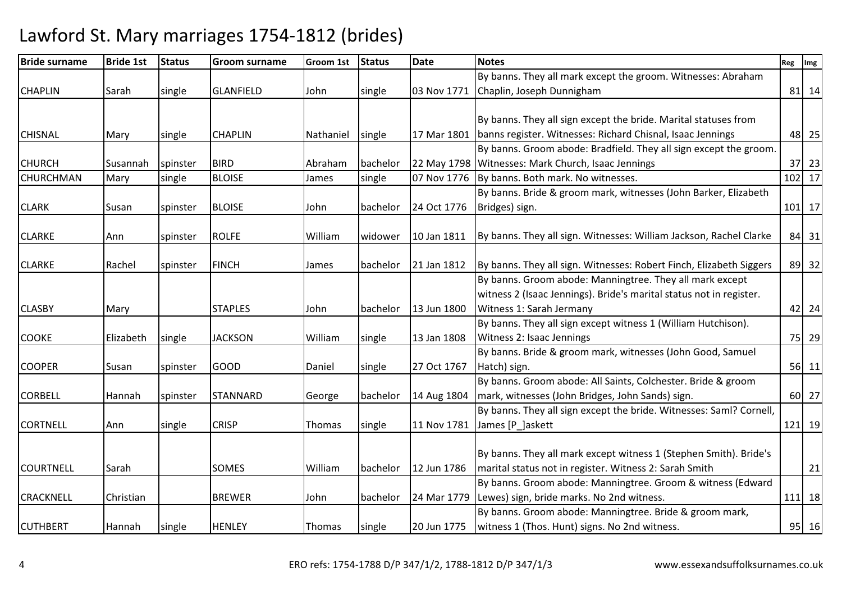| <b>Bride surname</b> | <b>Bride 1st</b> | <b>Status</b> | <b>Groom surname</b> | <b>Groom 1st</b> | <b>Status</b> | <b>Date</b> | <b>Notes</b>                                                        | Reg Img |        |
|----------------------|------------------|---------------|----------------------|------------------|---------------|-------------|---------------------------------------------------------------------|---------|--------|
|                      |                  |               |                      |                  |               |             | By banns. They all mark except the groom. Witnesses: Abraham        |         |        |
| <b>CHAPLIN</b>       | Sarah            | single        | <b>GLANFIELD</b>     | John             | single        | 03 Nov 1771 | Chaplin, Joseph Dunnigham                                           |         | 81 14  |
|                      |                  |               |                      |                  |               |             |                                                                     |         |        |
|                      |                  |               |                      |                  |               |             | By banns. They all sign except the bride. Marital statuses from     |         |        |
| <b>CHISNAL</b>       | Mary             | single        | <b>CHAPLIN</b>       | Nathaniel        | single        | 17 Mar 1801 | banns register. Witnesses: Richard Chisnal, Isaac Jennings          |         | 48 25  |
|                      |                  |               |                      |                  |               |             | By banns. Groom abode: Bradfield. They all sign except the groom.   |         |        |
| <b>CHURCH</b>        | Susannah         | spinster      | <b>BIRD</b>          | Abraham          | bachelor      |             | 22 May 1798 Witnesses: Mark Church, Isaac Jennings                  |         | 37 23  |
| <b>CHURCHMAN</b>     | Mary             | single        | <b>BLOISE</b>        | James            | single        | 07 Nov 1776 | By banns. Both mark. No witnesses.                                  |         | 102 17 |
|                      |                  |               |                      |                  |               |             | By banns. Bride & groom mark, witnesses (John Barker, Elizabeth     |         |        |
| <b>CLARK</b>         | Susan            | spinster      | <b>BLOISE</b>        | John             | bachelor      | 24 Oct 1776 | Bridges) sign.                                                      |         | 101 17 |
|                      |                  |               |                      |                  |               |             |                                                                     |         |        |
| <b>CLARKE</b>        | Ann              | spinster      | <b>ROLFE</b>         | William          | widower       | 10 Jan 1811 | By banns. They all sign. Witnesses: William Jackson, Rachel Clarke  |         | 84 31  |
|                      |                  |               |                      |                  |               |             |                                                                     |         |        |
| <b>CLARKE</b>        | Rachel           | spinster      | <b>FINCH</b>         | James            | bachelor      | 21 Jan 1812 | By banns. They all sign. Witnesses: Robert Finch, Elizabeth Siggers |         | 89 32  |
|                      |                  |               |                      |                  |               |             | By banns. Groom abode: Manningtree. They all mark except            |         |        |
|                      |                  |               |                      |                  |               |             | witness 2 (Isaac Jennings). Bride's marital status not in register. |         |        |
| <b>CLASBY</b>        | Mary             |               | <b>STAPLES</b>       | John             | bachelor      | 13 Jun 1800 | Witness 1: Sarah Jermany                                            |         | 42 24  |
|                      |                  |               |                      |                  |               |             | By banns. They all sign except witness 1 (William Hutchison).       |         |        |
| <b>COOKE</b>         | Elizabeth        | single        | <b>JACKSON</b>       | William          | single        | 13 Jan 1808 | Witness 2: Isaac Jennings                                           |         | 75 29  |
|                      |                  |               |                      |                  |               |             | By banns. Bride & groom mark, witnesses (John Good, Samuel          |         |        |
| <b>COOPER</b>        | Susan            | spinster      | GOOD                 | Daniel           | single        | 27 Oct 1767 | Hatch) sign.                                                        |         | 56 11  |
|                      |                  |               |                      |                  |               |             | By banns. Groom abode: All Saints, Colchester. Bride & groom        |         |        |
| <b>CORBELL</b>       | Hannah           | spinster      | <b>STANNARD</b>      | George           | bachelor      | 14 Aug 1804 | mark, witnesses (John Bridges, John Sands) sign.                    |         | 60 27  |
|                      |                  |               |                      |                  |               |             | By banns. They all sign except the bride. Witnesses: Saml? Cornell, |         |        |
| <b>CORTNELL</b>      | Ann              | single        | <b>CRISP</b>         | Thomas           | single        | 11 Nov 1781 | James [P_]askett                                                    |         | 121 19 |
|                      |                  |               |                      |                  |               |             |                                                                     |         |        |
|                      |                  |               |                      |                  |               |             | By banns. They all mark except witness 1 (Stephen Smith). Bride's   |         |        |
| <b>COURTNELL</b>     | Sarah            |               | <b>SOMES</b>         | William          | bachelor      | 12 Jun 1786 | marital status not in register. Witness 2: Sarah Smith              |         | 21     |
|                      |                  |               |                      |                  |               |             | By banns. Groom abode: Manningtree. Groom & witness (Edward         |         |        |
| <b>CRACKNELL</b>     | Christian        |               | <b>BREWER</b>        | John             | bachelor      | 24 Mar 1779 | Lewes) sign, bride marks. No 2nd witness.                           |         | 111 18 |
|                      |                  |               |                      |                  |               |             | By banns. Groom abode: Manningtree. Bride & groom mark,             |         |        |
| <b>CUTHBERT</b>      | Hannah           | single        | <b>HENLEY</b>        | Thomas           | single        | 20 Jun 1775 | witness 1 (Thos. Hunt) signs. No 2nd witness.                       |         | 95 16  |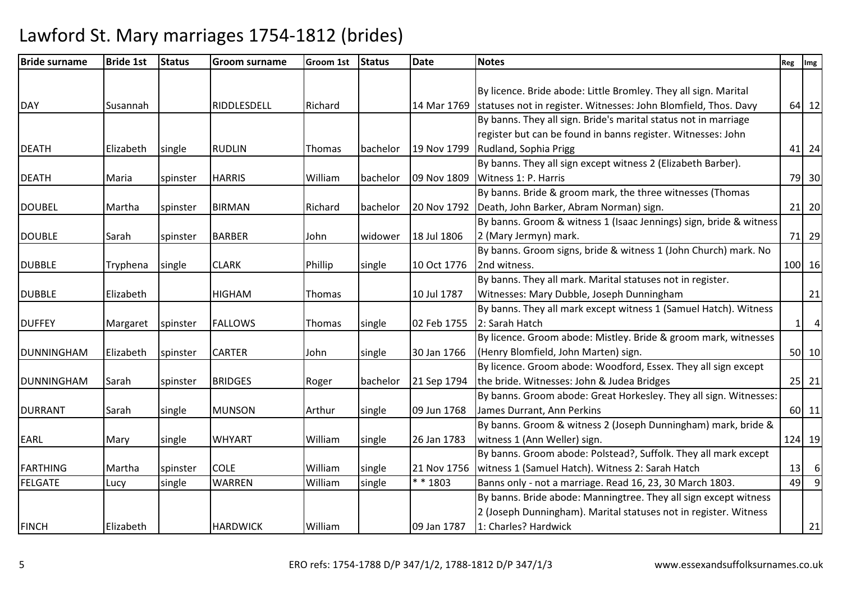| <b>Bride surname</b> | <b>Bride 1st</b> | <b>Status</b> | <b>Groom surname</b> | <b>Groom 1st</b> | <b>Status</b> | <b>Date</b> | <b>Notes</b>                                                       | Reg      | Img            |
|----------------------|------------------|---------------|----------------------|------------------|---------------|-------------|--------------------------------------------------------------------|----------|----------------|
|                      |                  |               |                      |                  |               |             |                                                                    |          |                |
|                      |                  |               |                      |                  |               |             | By licence. Bride abode: Little Bromley. They all sign. Marital    |          |                |
| <b>DAY</b>           | Susannah         |               | RIDDLESDELL          | Richard          |               | 14 Mar 1769 | statuses not in register. Witnesses: John Blomfield, Thos. Davy    |          | 64 12          |
|                      |                  |               |                      |                  |               |             | By banns. They all sign. Bride's marital status not in marriage    |          |                |
|                      |                  |               |                      |                  |               |             | register but can be found in banns register. Witnesses: John       |          |                |
| <b>DEATH</b>         | Elizabeth        | single        | <b>RUDLIN</b>        | Thomas           | bachelor      | 19 Nov 1799 | Rudland, Sophia Prigg                                              |          | 41 24          |
|                      |                  |               |                      |                  |               |             | By banns. They all sign except witness 2 (Elizabeth Barber).       |          |                |
| <b>DEATH</b>         | Maria            | spinster      | <b>HARRIS</b>        | William          | bachelor      | 09 Nov 1809 | Witness 1: P. Harris                                               |          | 79 30          |
|                      |                  |               |                      |                  |               |             | By banns. Bride & groom mark, the three witnesses (Thomas          |          |                |
| <b>DOUBEL</b>        | Martha           | spinster      | <b>BIRMAN</b>        | Richard          | bachelor      | 20 Nov 1792 | Death, John Barker, Abram Norman) sign.                            |          | 21 20          |
|                      |                  |               |                      |                  |               |             | By banns. Groom & witness 1 (Isaac Jennings) sign, bride & witness |          |                |
| <b>DOUBLE</b>        | Sarah            | spinster      | <b>BARBER</b>        | John             | widower       | 18 Jul 1806 | 2 (Mary Jermyn) mark.                                              |          | 71 29          |
|                      |                  |               |                      |                  |               |             | By banns. Groom signs, bride & witness 1 (John Church) mark. No    |          |                |
| <b>DUBBLE</b>        | Tryphena         | single        | <b>CLARK</b>         | Phillip          | single        | 10 Oct 1776 | 2nd witness.                                                       |          | 100 16         |
|                      |                  |               |                      |                  |               |             | By banns. They all mark. Marital statuses not in register.         |          |                |
| <b>DUBBLE</b>        | Elizabeth        |               | <b>HIGHAM</b>        | Thomas           |               | 10 Jul 1787 | Witnesses: Mary Dubble, Joseph Dunningham                          |          | 21             |
|                      |                  |               |                      |                  |               |             | By banns. They all mark except witness 1 (Samuel Hatch). Witness   |          |                |
| <b>DUFFEY</b>        | Margaret         | spinster      | <b>FALLOWS</b>       | Thomas           | single        | 02 Feb 1755 | 2: Sarah Hatch                                                     | $1\vert$ | $\overline{a}$ |
|                      |                  |               |                      |                  |               |             | By licence. Groom abode: Mistley. Bride & groom mark, witnesses    |          |                |
| <b>DUNNINGHAM</b>    | Elizabeth        | spinster      | <b>CARTER</b>        | John             | single        | 30 Jan 1766 | (Henry Blomfield, John Marten) sign.                               |          | 50 10          |
|                      |                  |               |                      |                  |               |             | By licence. Groom abode: Woodford, Essex. They all sign except     |          |                |
| <b>DUNNINGHAM</b>    | Sarah            | spinster      | <b>BRIDGES</b>       | Roger            | bachelor      | 21 Sep 1794 | the bride. Witnesses: John & Judea Bridges                         |          | $25$ 21        |
|                      |                  |               |                      |                  |               |             | By banns. Groom abode: Great Horkesley. They all sign. Witnesses:  |          |                |
| <b>DURRANT</b>       | Sarah            | single        | <b>MUNSON</b>        | Arthur           | single        | 09 Jun 1768 | James Durrant, Ann Perkins                                         |          | 60 11          |
|                      |                  |               |                      |                  |               |             | By banns. Groom & witness 2 (Joseph Dunningham) mark, bride &      |          |                |
| <b>EARL</b>          | Mary             | single        | <b>WHYART</b>        | William          | single        | 26 Jan 1783 | witness 1 (Ann Weller) sign.                                       |          | 124 19         |
|                      |                  |               |                      |                  |               |             | By banns. Groom abode: Polstead?, Suffolk. They all mark except    |          |                |
| <b>FARTHING</b>      | Martha           | spinster      | <b>COLE</b>          | William          | single        | 21 Nov 1756 | witness 1 (Samuel Hatch). Witness 2: Sarah Hatch                   | 13       | 6              |
| <b>FELGATE</b>       | Lucy             | single        | <b>WARREN</b>        | William          | single        | $* * 1803$  | Banns only - not a marriage. Read 16, 23, 30 March 1803.           | 49       | $\overline{9}$ |
|                      |                  |               |                      |                  |               |             | By banns. Bride abode: Manningtree. They all sign except witness   |          |                |
|                      |                  |               |                      |                  |               |             | 2 (Joseph Dunningham). Marital statuses not in register. Witness   |          |                |
| <b>FINCH</b>         | Elizabeth        |               | <b>HARDWICK</b>      | William          |               | 09 Jan 1787 | 1: Charles? Hardwick                                               |          | 21             |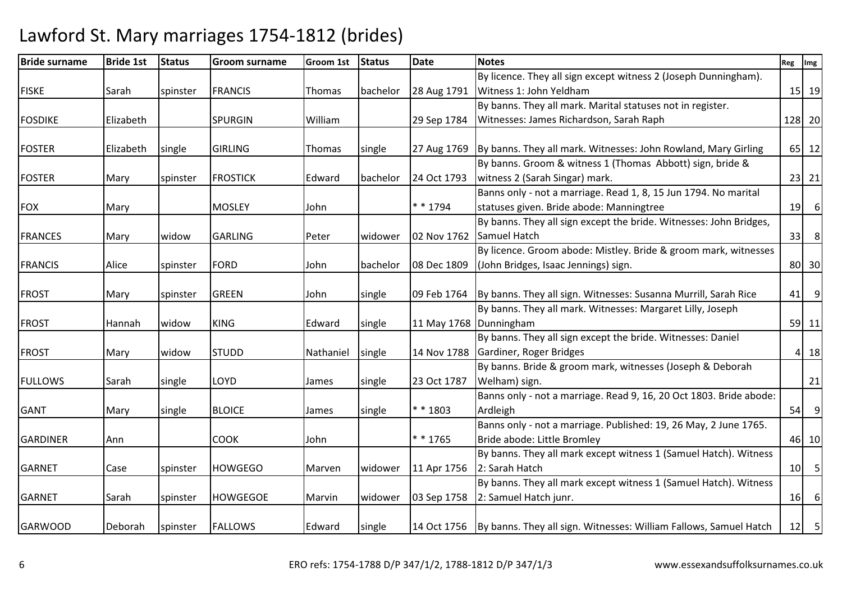| <b>Bride surname</b> | <b>Bride 1st</b> | <b>Status</b> | <b>Groom surname</b> | Groom 1st | <b>Status</b> | <b>Date</b> | <b>Notes</b>                                                                                                                | Reg | Img              |
|----------------------|------------------|---------------|----------------------|-----------|---------------|-------------|-----------------------------------------------------------------------------------------------------------------------------|-----|------------------|
|                      |                  |               |                      |           |               |             | By licence. They all sign except witness 2 (Joseph Dunningham).                                                             |     |                  |
| <b>FISKE</b>         | Sarah            | spinster      | <b>FRANCIS</b>       | Thomas    | bachelor      | 28 Aug 1791 | Witness 1: John Yeldham                                                                                                     |     | 15 19            |
|                      |                  |               |                      |           |               |             | By banns. They all mark. Marital statuses not in register.                                                                  |     |                  |
| <b>FOSDIKE</b>       | Elizabeth        |               | <b>SPURGIN</b>       | William   |               | 29 Sep 1784 | Witnesses: James Richardson, Sarah Raph                                                                                     |     | 128 20           |
| <b>FOSTER</b>        |                  |               | <b>GIRLING</b>       |           |               |             |                                                                                                                             |     |                  |
|                      | Elizabeth        | single        |                      | Thomas    | single        | 27 Aug 1769 | By banns. They all mark. Witnesses: John Rowland, Mary Girling<br>By banns. Groom & witness 1 (Thomas Abbott) sign, bride & |     | 65 12            |
|                      |                  |               |                      |           |               | 24 Oct 1793 | witness 2 (Sarah Singar) mark.                                                                                              |     |                  |
| <b>FOSTER</b>        | Mary             | spinster      | <b>FROSTICK</b>      | Edward    | bachelor      |             | Banns only - not a marriage. Read 1, 8, 15 Jun 1794. No marital                                                             |     | 23 21            |
|                      |                  |               |                      |           |               | * * 1794    |                                                                                                                             |     | $6 \overline{6}$ |
| <b>FOX</b>           | Mary             |               | <b>MOSLEY</b>        | John      |               |             | statuses given. Bride abode: Manningtree                                                                                    | 19  |                  |
|                      |                  |               |                      |           |               |             | By banns. They all sign except the bride. Witnesses: John Bridges,                                                          |     |                  |
| <b>FRANCES</b>       | Mary             | widow         | <b>GARLING</b>       | Peter     | widower       | 02 Nov 1762 | Samuel Hatch                                                                                                                | 33  | 8                |
|                      |                  |               |                      |           |               |             | By licence. Groom abode: Mistley. Bride & groom mark, witnesses                                                             |     |                  |
| <b>FRANCIS</b>       | Alice            | spinster      | FORD                 | John      | bachelor      | 08 Dec 1809 | (John Bridges, Isaac Jennings) sign.                                                                                        |     | 80 30            |
| <b>FROST</b>         | Mary             | spinster      | <b>GREEN</b>         | John      | single        |             | 09 Feb 1764   By banns. They all sign. Witnesses: Susanna Murrill, Sarah Rice                                               |     | $41 \mid 9$      |
|                      |                  |               |                      |           |               |             | By banns. They all mark. Witnesses: Margaret Lilly, Joseph                                                                  |     |                  |
| <b>FROST</b>         | Hannah           | widow         | <b>KING</b>          | Edward    | single        |             | 11 May 1768 Dunningham                                                                                                      |     | $59$ 11          |
|                      |                  |               |                      |           |               |             | By banns. They all sign except the bride. Witnesses: Daniel                                                                 |     |                  |
| <b>FROST</b>         | Mary             | widow         | <b>STUDD</b>         | Nathaniel | single        | 14 Nov 1788 | Gardiner, Roger Bridges                                                                                                     |     | 4 18             |
|                      |                  |               |                      |           |               |             | By banns. Bride & groom mark, witnesses (Joseph & Deborah                                                                   |     |                  |
| <b>FULLOWS</b>       | Sarah            | single        | LOYD                 | James     | single        | 23 Oct 1787 | Welham) sign.                                                                                                               |     | 21               |
|                      |                  |               |                      |           |               |             | Banns only - not a marriage. Read 9, 16, 20 Oct 1803. Bride abode:                                                          |     |                  |
| <b>GANT</b>          | Mary             | single        | <b>BLOICE</b>        | James     | single        | * * 1803    | Ardleigh                                                                                                                    |     | $54$ 9           |
|                      |                  |               |                      |           |               |             | Banns only - not a marriage. Published: 19, 26 May, 2 June 1765.                                                            |     |                  |
| <b>GARDINER</b>      | Ann              |               | <b>COOK</b>          | John      |               | * * 1765    | Bride abode: Little Bromley                                                                                                 |     | 46 10            |
|                      |                  |               |                      |           |               |             | By banns. They all mark except witness 1 (Samuel Hatch). Witness                                                            |     |                  |
| <b>GARNET</b>        | Case             | spinster      | <b>HOWGEGO</b>       | Marven    | widower       | 11 Apr 1756 | 2: Sarah Hatch                                                                                                              |     | 10 5             |
|                      |                  |               |                      |           |               |             | By banns. They all mark except witness 1 (Samuel Hatch). Witness                                                            |     |                  |
| <b>GARNET</b>        | Sarah            | spinster      | <b>HOWGEGOE</b>      | Marvin    | widower       | 03 Sep 1758 | 2: Samuel Hatch junr.                                                                                                       |     | $16$ 6           |
|                      |                  |               |                      |           |               |             |                                                                                                                             |     |                  |
| <b>GARWOOD</b>       | Deborah          | spinster      | <b>FALLOWS</b>       | Edward    | single        |             | 14 Oct 1756   By banns. They all sign. Witnesses: William Fallows, Samuel Hatch                                             |     | $12$ 5           |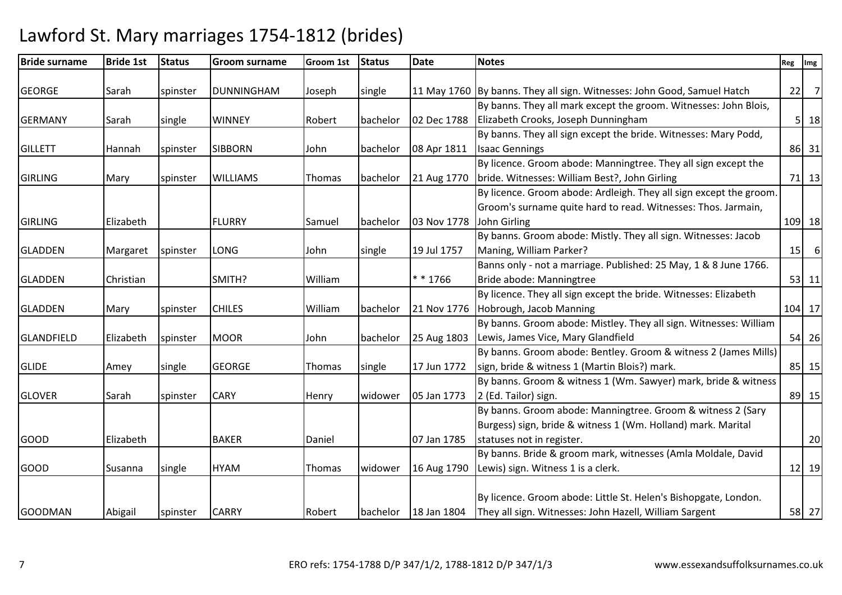| <b>Bride surname</b> | <b>Bride 1st</b> | <b>Status</b> | <b>Groom surname</b> | Groom 1st | <b>Status</b> | <b>Date</b> | <b>Notes</b>                                                                                                                                             |    | Reg Img        |
|----------------------|------------------|---------------|----------------------|-----------|---------------|-------------|----------------------------------------------------------------------------------------------------------------------------------------------------------|----|----------------|
| <b>GEORGE</b>        | Sarah            | spinster      | DUNNINGHAM           | Joseph    | single        |             | 11 May 1760 By banns. They all sign. Witnesses: John Good, Samuel Hatch                                                                                  | 22 | $\overline{7}$ |
| <b>GERMANY</b>       | Sarah            | single        | <b>WINNEY</b>        | Robert    | bachelor      | 02 Dec 1788 | By banns. They all mark except the groom. Witnesses: John Blois,<br>Elizabeth Crooks, Joseph Dunningham                                                  |    | $5 \vert 18$   |
| <b>GILLETT</b>       | Hannah           | spinster      | <b>SIBBORN</b>       | John      | bachelor      | 08 Apr 1811 | By banns. They all sign except the bride. Witnesses: Mary Podd,<br><b>Isaac Gennings</b>                                                                 |    | 86 31          |
| <b>GIRLING</b>       | Mary             | spinster      | <b>WILLIAMS</b>      | Thomas    | bachelor      | 21 Aug 1770 | By licence. Groom abode: Manningtree. They all sign except the<br>bride. Witnesses: William Best?, John Girling                                          |    | 71 13          |
| <b>GIRLING</b>       | Elizabeth        |               | <b>FLURRY</b>        | Samuel    | bachelor      | 03 Nov 1778 | By licence. Groom abode: Ardleigh. They all sign except the groom.<br>Groom's surname quite hard to read. Witnesses: Thos. Jarmain,<br>John Girling      |    | 109 18         |
| <b>GLADDEN</b>       | Margaret         | spinster      | <b>LONG</b>          | John      | single        | 19 Jul 1757 | By banns. Groom abode: Mistly. They all sign. Witnesses: Jacob<br>Maning, William Parker?                                                                |    | $15$ 6         |
| <b>GLADDEN</b>       | Christian        |               | SMITH?               | William   |               | * * 1766    | Banns only - not a marriage. Published: 25 May, 1 & 8 June 1766.<br>Bride abode: Manningtree                                                             |    | 53 11          |
| <b>GLADDEN</b>       | Mary             | spinster      | <b>CHILES</b>        | William   | bachelor      | 21 Nov 1776 | By licence. They all sign except the bride. Witnesses: Elizabeth<br>Hobrough, Jacob Manning                                                              |    | 104 17         |
| <b>GLANDFIELD</b>    | Elizabeth        | spinster      | <b>MOOR</b>          | John      | bachelor      | 25 Aug 1803 | By banns. Groom abode: Mistley. They all sign. Witnesses: William<br>Lewis, James Vice, Mary Glandfield                                                  |    | 54 26          |
| <b>GLIDE</b>         | Amey             | single        | <b>GEORGE</b>        | Thomas    | single        | 17 Jun 1772 | By banns. Groom abode: Bentley. Groom & witness 2 (James Mills)<br>sign, bride & witness 1 (Martin Blois?) mark.                                         |    | 85 15          |
| <b>GLOVER</b>        | Sarah            | spinster      | <b>CARY</b>          | Henry     | widower       | 05 Jan 1773 | By banns. Groom & witness 1 (Wm. Sawyer) mark, bride & witness<br>2 (Ed. Tailor) sign.                                                                   |    | 89 15          |
| <b>GOOD</b>          | Elizabeth        |               | <b>BAKER</b>         | Daniel    |               | 07 Jan 1785 | By banns. Groom abode: Manningtree. Groom & witness 2 (Sary<br>Burgess) sign, bride & witness 1 (Wm. Holland) mark. Marital<br>statuses not in register. |    | 20             |
| <b>GOOD</b>          | Susanna          | single        | <b>HYAM</b>          | Thomas    | widower       | 16 Aug 1790 | By banns. Bride & groom mark, witnesses (Amla Moldale, David<br>Lewis) sign. Witness 1 is a clerk.                                                       |    | 12 19          |
| <b>GOODMAN</b>       | Abigail          | spinster      | <b>CARRY</b>         | Robert    | bachelor      | 18 Jan 1804 | By licence. Groom abode: Little St. Helen's Bishopgate, London.<br>They all sign. Witnesses: John Hazell, William Sargent                                |    | 58 27          |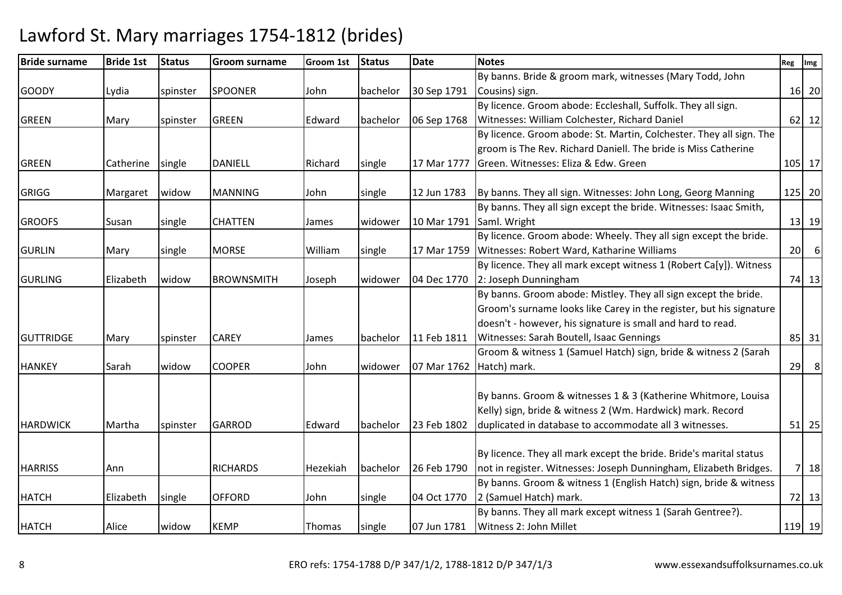| <b>Bride surname</b> | <b>Bride 1st</b> | <b>Status</b> | <b>Groom surname</b> | <b>Groom 1st</b> | <b>Status</b> | <b>Date</b> | <b>Notes</b>                                                        | Reg             | Img     |
|----------------------|------------------|---------------|----------------------|------------------|---------------|-------------|---------------------------------------------------------------------|-----------------|---------|
|                      |                  |               |                      |                  |               |             | By banns. Bride & groom mark, witnesses (Mary Todd, John            |                 |         |
| <b>GOODY</b>         | Lydia            | spinster      | <b>SPOONER</b>       | John             | bachelor      | 30 Sep 1791 | Cousins) sign.                                                      |                 | 16 20   |
|                      |                  |               |                      |                  |               |             | By licence. Groom abode: Eccleshall, Suffolk. They all sign.        |                 |         |
| <b>GREEN</b>         | Mary             | spinster      | <b>GREEN</b>         | Edward           | bachelor      | 06 Sep 1768 | Witnesses: William Colchester, Richard Daniel                       |                 | $62$ 12 |
|                      |                  |               |                      |                  |               |             | By licence. Groom abode: St. Martin, Colchester. They all sign. The |                 |         |
|                      |                  |               |                      |                  |               |             | groom is The Rev. Richard Daniell. The bride is Miss Catherine      |                 |         |
| <b>GREEN</b>         | Catherine        | single        | <b>DANIELL</b>       | Richard          | single        | 17 Mar 1777 | Green. Witnesses: Eliza & Edw. Green                                |                 | 105 17  |
| <b>GRIGG</b>         | Margaret         | widow         | <b>MANNING</b>       | John             | single        | 12 Jun 1783 | By banns. They all sign. Witnesses: John Long, Georg Manning        |                 | 125 20  |
|                      |                  |               |                      |                  |               |             | By banns. They all sign except the bride. Witnesses: Isaac Smith,   |                 |         |
| <b>GROOFS</b>        | Susan            | single        | <b>CHATTEN</b>       | James            | widower       | 10 Mar 1791 | Saml. Wright                                                        |                 | 13 19   |
|                      |                  |               |                      |                  |               |             | By licence. Groom abode: Wheely. They all sign except the bride.    |                 |         |
| <b>GURLIN</b>        | Mary             | single        | <b>MORSE</b>         | William          | single        | 17 Mar 1759 | Witnesses: Robert Ward, Katharine Williams                          | 20 <sup>1</sup> | 6       |
|                      |                  |               |                      |                  |               |             | By licence. They all mark except witness 1 (Robert Ca[y]). Witness  |                 |         |
| <b>GURLING</b>       | Elizabeth        | widow         | <b>BROWNSMITH</b>    | Joseph           | widower       | 04 Dec 1770 | 2: Joseph Dunningham                                                |                 | 74 13   |
|                      |                  |               |                      |                  |               |             | By banns. Groom abode: Mistley. They all sign except the bride.     |                 |         |
|                      |                  |               |                      |                  |               |             | Groom's surname looks like Carey in the register, but his signature |                 |         |
|                      |                  |               |                      |                  |               |             | doesn't - however, his signature is small and hard to read.         |                 |         |
| <b>GUTTRIDGE</b>     | Mary             | spinster      | <b>CAREY</b>         | James            | bachelor      | 11 Feb 1811 | Witnesses: Sarah Boutell, Isaac Gennings                            |                 | 85 31   |
|                      |                  |               |                      |                  |               |             | Groom & witness 1 (Samuel Hatch) sign, bride & witness 2 (Sarah     |                 |         |
| <b>HANKEY</b>        | Sarah            | widow         | <b>COOPER</b>        | John             | widower       | 07 Mar 1762 | Hatch) mark.                                                        | 29              | 8       |
|                      |                  |               |                      |                  |               |             |                                                                     |                 |         |
|                      |                  |               |                      |                  |               |             | By banns. Groom & witnesses 1 & 3 (Katherine Whitmore, Louisa       |                 |         |
|                      |                  |               |                      |                  |               |             | Kelly) sign, bride & witness 2 (Wm. Hardwick) mark. Record          |                 |         |
| <b>HARDWICK</b>      | Martha           | spinster      | <b>GARROD</b>        | Edward           | bachelor      | 23 Feb 1802 | duplicated in database to accommodate all 3 witnesses.              |                 | $51$ 25 |
|                      |                  |               |                      |                  |               |             |                                                                     |                 |         |
|                      |                  |               |                      |                  |               |             | By licence. They all mark except the bride. Bride's marital status  |                 |         |
| <b>HARRISS</b>       | Ann              |               | <b>RICHARDS</b>      | Hezekiah         | bachelor      | 26 Feb 1790 | not in register. Witnesses: Joseph Dunningham, Elizabeth Bridges.   |                 | 7 18    |
|                      |                  |               |                      |                  |               |             | By banns. Groom & witness 1 (English Hatch) sign, bride & witness   |                 |         |
| <b>HATCH</b>         | Elizabeth        | single        | <b>OFFORD</b>        | John             | single        | 04 Oct 1770 | 2 (Samuel Hatch) mark.                                              |                 | 72 13   |
|                      |                  |               |                      |                  |               |             | By banns. They all mark except witness 1 (Sarah Gentree?).          |                 |         |
| <b>HATCH</b>         | Alice            | widow         | <b>KEMP</b>          | Thomas           | single        | 07 Jun 1781 | Witness 2: John Millet                                              |                 | 119 19  |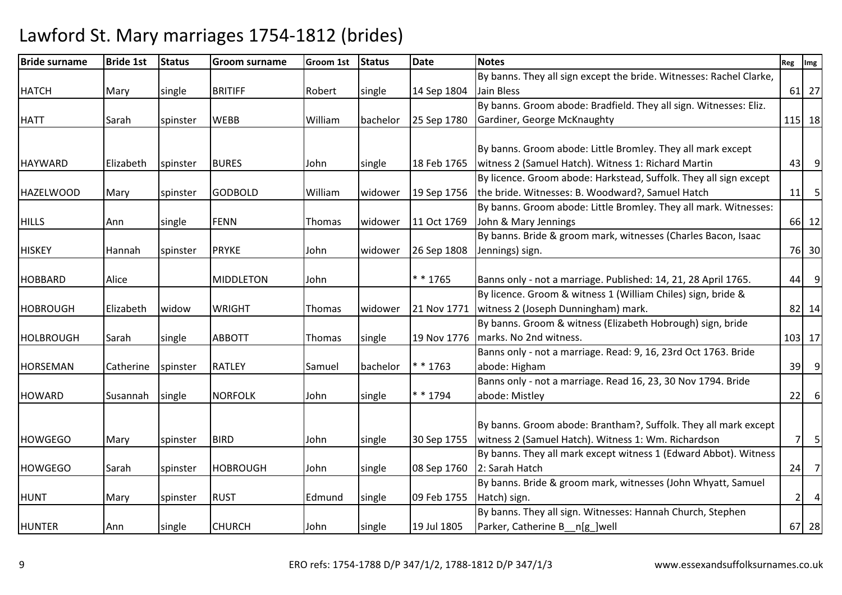| <b>Bride surname</b> | <b>Bride 1st</b> | <b>Status</b> | <b>Groom surname</b> | Groom 1st | <b>Status</b> | <b>Date</b> | <b>Notes</b>                                                        | Reg | Img                 |
|----------------------|------------------|---------------|----------------------|-----------|---------------|-------------|---------------------------------------------------------------------|-----|---------------------|
|                      |                  |               |                      |           |               |             | By banns. They all sign except the bride. Witnesses: Rachel Clarke, |     |                     |
| <b>HATCH</b>         | Mary             | single        | <b>BRITIFF</b>       | Robert    | single        | 14 Sep 1804 | Jain Bless                                                          |     | 61 27               |
|                      |                  |               |                      |           |               |             | By banns. Groom abode: Bradfield. They all sign. Witnesses: Eliz.   |     |                     |
| <b>HATT</b>          | Sarah            | spinster      | <b>WEBB</b>          | William   | bachelor      | 25 Sep 1780 | Gardiner, George McKnaughty                                         |     | 115 18              |
|                      |                  |               |                      |           |               |             |                                                                     |     |                     |
|                      |                  |               |                      |           |               |             | By banns. Groom abode: Little Bromley. They all mark except         |     |                     |
| <b>HAYWARD</b>       | Elizabeth        | spinster      | <b>BURES</b>         | John      | single        | 18 Feb 1765 | witness 2 (Samuel Hatch). Witness 1: Richard Martin                 | 43  | $\overline{9}$      |
|                      |                  |               |                      |           |               |             | By licence. Groom abode: Harkstead, Suffolk. They all sign except   |     |                     |
| <b>HAZELWOOD</b>     | Mary             | spinster      | <b>GODBOLD</b>       | William   | widower       | 19 Sep 1756 | the bride. Witnesses: B. Woodward?, Samuel Hatch                    |     | $11$ 5              |
|                      |                  |               |                      |           |               |             | By banns. Groom abode: Little Bromley. They all mark. Witnesses:    |     |                     |
| <b>HILLS</b>         | Ann              | single        | <b>FENN</b>          | Thomas    | widower       | 11 Oct 1769 | John & Mary Jennings                                                |     | 66 12               |
|                      |                  |               |                      |           |               |             | By banns. Bride & groom mark, witnesses (Charles Bacon, Isaac       |     |                     |
| <b>HISKEY</b>        | Hannah           | spinster      | <b>PRYKE</b>         | John      | widower       | 26 Sep 1808 | Jennings) sign.                                                     |     | 76 30               |
|                      |                  |               |                      |           |               |             |                                                                     |     |                     |
| <b>HOBBARD</b>       | Alice            |               | <b>MIDDLETON</b>     | John      |               | * * 1765    | Banns only - not a marriage. Published: 14, 21, 28 April 1765.      |     | $44$ 9              |
|                      |                  |               |                      |           |               |             | By licence. Groom & witness 1 (William Chiles) sign, bride &        |     |                     |
| <b>HOBROUGH</b>      | Elizabeth        | widow         | <b>WRIGHT</b>        | Thomas    | widower       | 21 Nov 1771 | witness 2 (Joseph Dunningham) mark.                                 |     | 82 14               |
|                      |                  |               |                      |           |               |             | By banns. Groom & witness (Elizabeth Hobrough) sign, bride          |     |                     |
| <b>HOLBROUGH</b>     | Sarah            | single        | <b>ABBOTT</b>        | Thomas    | single        | 19 Nov 1776 | marks. No 2nd witness.                                              |     | 103 17              |
|                      |                  |               |                      |           |               |             | Banns only - not a marriage. Read: 9, 16, 23rd Oct 1763. Bride      |     |                     |
| HORSEMAN             | Catherine        | spinster      | <b>RATLEY</b>        | Samuel    | bachelor      | * * 1763    | abode: Higham                                                       |     | $39$ $9$            |
|                      |                  |               |                      |           |               |             | Banns only - not a marriage. Read 16, 23, 30 Nov 1794. Bride        |     |                     |
| <b>HOWARD</b>        | Susannah         | single        | <b>NORFOLK</b>       | John      | single        | * * 1794    | abode: Mistley                                                      | 22  | $6 \overline{6}$    |
|                      |                  |               |                      |           |               |             |                                                                     |     |                     |
|                      |                  |               |                      |           |               |             | By banns. Groom abode: Brantham?, Suffolk. They all mark except     |     |                     |
| <b>HOWGEGO</b>       | Mary             | spinster      | <b>BIRD</b>          | John      | single        | 30 Sep 1755 | witness 2 (Samuel Hatch). Witness 1: Wm. Richardson                 |     | 5<br>7 <sup>1</sup> |
|                      |                  |               |                      |           |               |             | By banns. They all mark except witness 1 (Edward Abbot). Witness    |     |                     |
| <b>HOWGEGO</b>       | Sarah            | spinster      | HOBROUGH             | John      | single        | 08 Sep 1760 | 2: Sarah Hatch                                                      |     | $24$ 7              |
|                      |                  |               |                      |           |               |             | By banns. Bride & groom mark, witnesses (John Whyatt, Samuel        |     |                     |
| <b>HUNT</b>          | Mary             | spinster      | <b>RUST</b>          | Edmund    | single        | 09 Feb 1755 | Hatch) sign.                                                        |     | $\overline{a}$<br>2 |
|                      |                  |               |                      |           |               |             | By banns. They all sign. Witnesses: Hannah Church, Stephen          |     |                     |
| <b>HUNTER</b>        | Ann              | single        | <b>CHURCH</b>        | John      | single        | 19 Jul 1805 | Parker, Catherine B_n[g_]well                                       |     | 67 28               |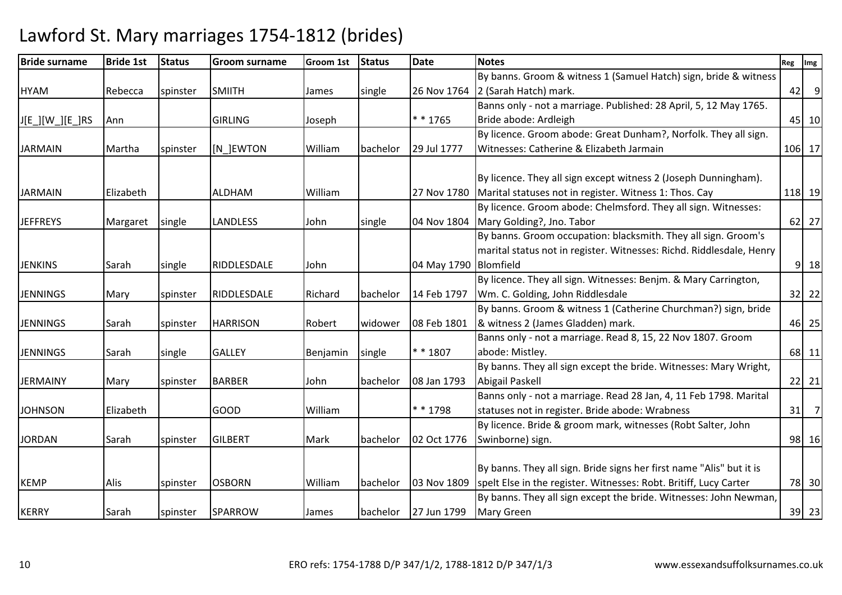| <b>Bride surname</b> | <b>Bride 1st</b> | <b>Status</b> | <b>Groom surname</b> | Groom 1st | <b>Status</b> | <b>Date</b>           | <b>Notes</b>                                                         | Reg | Img            |
|----------------------|------------------|---------------|----------------------|-----------|---------------|-----------------------|----------------------------------------------------------------------|-----|----------------|
|                      |                  |               |                      |           |               |                       | By banns. Groom & witness 1 (Samuel Hatch) sign, bride & witness     |     |                |
| <b>HYAM</b>          | Rebecca          | spinster      | <b>SMIITH</b>        | James     | single        | 26 Nov 1764           | 2 (Sarah Hatch) mark.                                                | 42  | $\overline{9}$ |
|                      |                  |               |                      |           |               |                       | Banns only - not a marriage. Published: 28 April, 5, 12 May 1765.    |     |                |
| J[E_][W_][E_]RS      | Ann              |               | <b>GIRLING</b>       | Joseph    |               | * * 1765              | Bride abode: Ardleigh                                                |     | 45 10          |
|                      |                  |               |                      |           |               |                       | By licence. Groom abode: Great Dunham?, Norfolk. They all sign.      |     |                |
| <b>JARMAIN</b>       | Martha           | spinster      | [N ]EWTON            | William   | bachelor      | 29 Jul 1777           | Witnesses: Catherine & Elizabeth Jarmain                             |     | 106 17         |
|                      |                  |               |                      |           |               |                       |                                                                      |     |                |
|                      |                  |               |                      |           |               |                       | By licence. They all sign except witness 2 (Joseph Dunningham).      |     |                |
| <b>JARMAIN</b>       | Elizabeth        |               | <b>ALDHAM</b>        | William   |               | 27 Nov 1780           | Marital statuses not in register. Witness 1: Thos. Cay               |     | 118 19         |
|                      |                  |               |                      |           |               |                       | By licence. Groom abode: Chelmsford. They all sign. Witnesses:       |     |                |
| <b>JEFFREYS</b>      | Margaret         | single        | <b>LANDLESS</b>      | John      | single        | 04 Nov 1804           | Mary Golding?, Jno. Tabor                                            |     | 62 27          |
|                      |                  |               |                      |           |               |                       | By banns. Groom occupation: blacksmith. They all sign. Groom's       |     |                |
|                      |                  |               |                      |           |               |                       | marital status not in register. Witnesses: Richd. Riddlesdale, Henry |     |                |
| <b>JENKINS</b>       | Sarah            | single        | RIDDLESDALE          | John      |               | 04 May 1790 Blomfield |                                                                      |     | $9$ 18         |
|                      |                  |               |                      |           |               |                       | By licence. They all sign. Witnesses: Benjm. & Mary Carrington,      |     |                |
| <b>JENNINGS</b>      | Mary             | spinster      | RIDDLESDALE          | Richard   | bachelor      | 14 Feb 1797           | Wm. C. Golding, John Riddlesdale                                     |     | 32 22          |
|                      |                  |               |                      |           |               |                       | By banns. Groom & witness 1 (Catherine Churchman?) sign, bride       |     |                |
| <b>JENNINGS</b>      | Sarah            | spinster      | <b>HARRISON</b>      | Robert    | widower       | 08 Feb 1801           | & witness 2 (James Gladden) mark.                                    |     | 46 25          |
|                      |                  |               |                      |           |               |                       | Banns only - not a marriage. Read 8, 15, 22 Nov 1807. Groom          |     |                |
| <b>JENNINGS</b>      | Sarah            | single        | <b>GALLEY</b>        | Benjamin  | single        | * * 1807              | abode: Mistley.                                                      |     | 68 11          |
|                      |                  |               |                      |           |               |                       | By banns. They all sign except the bride. Witnesses: Mary Wright,    |     |                |
| <b>JERMAINY</b>      | Mary             | spinster      | <b>BARBER</b>        | John      | bachelor      | 08 Jan 1793           | Abigail Paskell                                                      |     | $22$ 21        |
|                      |                  |               |                      |           |               |                       | Banns only - not a marriage. Read 28 Jan, 4, 11 Feb 1798. Marital    |     |                |
| <b>JOHNSON</b>       | Elizabeth        |               | <b>GOOD</b>          | William   |               | * * 1798              | statuses not in register. Bride abode: Wrabness                      | 31  | $\overline{7}$ |
|                      |                  |               |                      |           |               |                       | By licence. Bride & groom mark, witnesses (Robt Salter, John         |     |                |
| <b>JORDAN</b>        | Sarah            | spinster      | <b>GILBERT</b>       | Mark      | bachelor      | 02 Oct 1776           | Swinborne) sign.                                                     |     | 98 16          |
|                      |                  |               |                      |           |               |                       |                                                                      |     |                |
|                      |                  |               |                      |           |               |                       | By banns. They all sign. Bride signs her first name "Alis" but it is |     |                |
| <b>KEMP</b>          | Alis             | spinster      | <b>OSBORN</b>        | William   | bachelor      | 03 Nov 1809           | spelt Else in the register. Witnesses: Robt. Britiff, Lucy Carter    |     | 78 30          |
|                      |                  |               |                      |           |               |                       | By banns. They all sign except the bride. Witnesses: John Newman,    |     |                |
| <b>KERRY</b>         | Sarah            | spinster      | <b>SPARROW</b>       | James     | bachelor      | 27 Jun 1799           | <b>Mary Green</b>                                                    |     | 39 23          |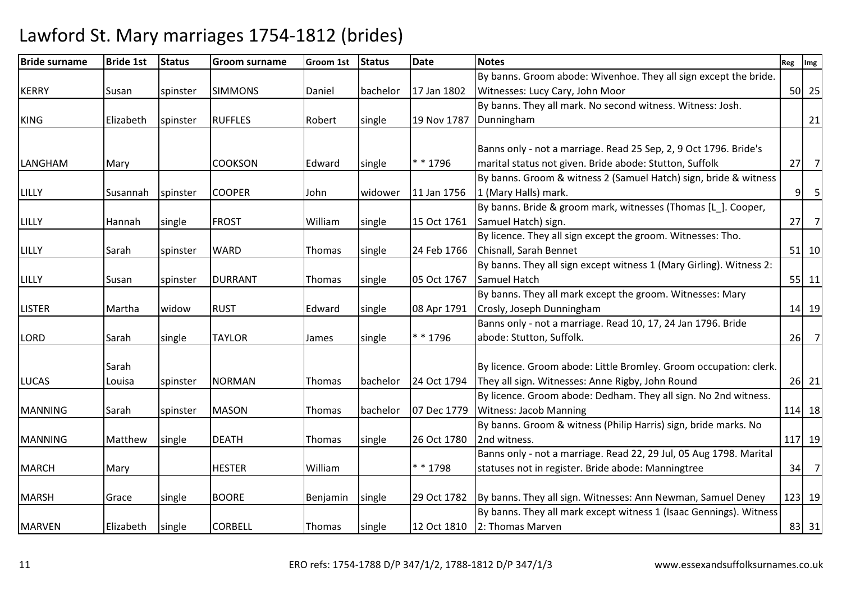| <b>Bride surname</b> | <b>Bride 1st</b> | <b>Status</b> | <b>Groom surname</b> | Groom 1st | <b>Status</b> | <b>Date</b> | <b>Notes</b>                                                               | Reg | Img            |
|----------------------|------------------|---------------|----------------------|-----------|---------------|-------------|----------------------------------------------------------------------------|-----|----------------|
|                      |                  |               |                      |           |               |             | By banns. Groom abode: Wivenhoe. They all sign except the bride.           |     |                |
| <b>KERRY</b>         | Susan            | spinster      | <b>SIMMONS</b>       | Daniel    | bachelor      | 17 Jan 1802 | Witnesses: Lucy Cary, John Moor                                            |     | 50 25          |
|                      |                  |               |                      |           |               |             | By banns. They all mark. No second witness. Witness: Josh.                 |     |                |
| <b>KING</b>          | Elizabeth        | spinster      | <b>RUFFLES</b>       | Robert    | single        | 19 Nov 1787 | Dunningham                                                                 |     | 21             |
|                      |                  |               |                      |           |               |             |                                                                            |     |                |
|                      |                  |               |                      |           |               |             | Banns only - not a marriage. Read 25 Sep, 2, 9 Oct 1796. Bride's           |     |                |
| LANGHAM              | Mary             |               | <b>COOKSON</b>       | Edward    | single        | * * 1796    | marital status not given. Bride abode: Stutton, Suffolk                    | 27  | $\overline{7}$ |
|                      |                  |               |                      |           |               |             | By banns. Groom & witness 2 (Samuel Hatch) sign, bride & witness           |     |                |
| LILLY                | Susannah         | spinster      | <b>COOPER</b>        | John      | widower       | 11 Jan 1756 | 1 (Mary Halls) mark.                                                       |     | $9$ 5          |
|                      |                  |               |                      |           |               |             | By banns. Bride & groom mark, witnesses (Thomas [L_]. Cooper,              |     |                |
| LILLY                | Hannah           | single        | <b>FROST</b>         | William   | single        | 15 Oct 1761 | Samuel Hatch) sign.                                                        |     | $27$ 7         |
|                      |                  |               |                      |           |               |             | By licence. They all sign except the groom. Witnesses: Tho.                |     |                |
| LILLY                | Sarah            | spinster      | <b>WARD</b>          | Thomas    | single        | 24 Feb 1766 | Chisnall, Sarah Bennet                                                     |     | $51$ 10        |
|                      |                  |               |                      |           |               |             | By banns. They all sign except witness 1 (Mary Girling). Witness 2:        |     |                |
| LILLY                | Susan            | spinster      | <b>DURRANT</b>       | Thomas    | single        | 05 Oct 1767 | Samuel Hatch                                                               |     | $55$ 11        |
|                      |                  |               |                      |           |               |             | By banns. They all mark except the groom. Witnesses: Mary                  |     |                |
| <b>LISTER</b>        | Martha           | widow         | <b>RUST</b>          | Edward    | single        | 08 Apr 1791 | Crosly, Joseph Dunningham                                                  |     | 14 19          |
|                      |                  |               |                      |           |               |             | Banns only - not a marriage. Read 10, 17, 24 Jan 1796. Bride               |     |                |
| LORD                 | Sarah            | single        | <b>TAYLOR</b>        | James     | single        | * * 1796    | abode: Stutton, Suffolk.                                                   | 26  | $\overline{7}$ |
|                      |                  |               |                      |           |               |             |                                                                            |     |                |
|                      | Sarah            |               |                      |           |               |             | By licence. Groom abode: Little Bromley. Groom occupation: clerk.          |     |                |
| <b>LUCAS</b>         | Louisa           | spinster      | <b>NORMAN</b>        | Thomas    | bachelor      | 24 Oct 1794 | They all sign. Witnesses: Anne Rigby, John Round                           |     | $26$ 21        |
|                      |                  |               |                      |           |               |             | By licence. Groom abode: Dedham. They all sign. No 2nd witness.            |     |                |
| <b>MANNING</b>       | Sarah            | spinster      | <b>MASON</b>         | Thomas    | bachelor      | 07 Dec 1779 | <b>Witness: Jacob Manning</b>                                              |     | 114 18         |
|                      |                  |               |                      |           |               |             | By banns. Groom & witness (Philip Harris) sign, bride marks. No            |     |                |
| <b>MANNING</b>       | Matthew          | single        | <b>DEATH</b>         | Thomas    | single        | 26 Oct 1780 | 2nd witness.                                                               |     | 117 19         |
|                      |                  |               |                      |           |               |             | Banns only - not a marriage. Read 22, 29 Jul, 05 Aug 1798. Marital         |     |                |
| <b>MARCH</b>         | Mary             |               | <b>HESTER</b>        | William   |               | * * 1798    | statuses not in register. Bride abode: Manningtree                         | 34  | $\overline{7}$ |
|                      |                  |               |                      |           |               |             |                                                                            |     |                |
| <b>MARSH</b>         | Grace            | single        | <b>BOORE</b>         | Benjamin  | single        |             | 29 Oct 1782   By banns. They all sign. Witnesses: Ann Newman, Samuel Deney |     | 123 19         |
|                      |                  |               |                      |           |               |             | By banns. They all mark except witness 1 (Isaac Gennings). Witness         |     |                |
| <b>MARVEN</b>        | Elizabeth        | single        | <b>CORBELL</b>       | Thomas    | single        |             | 12 Oct 1810 2: Thomas Marven                                               |     | 83 31          |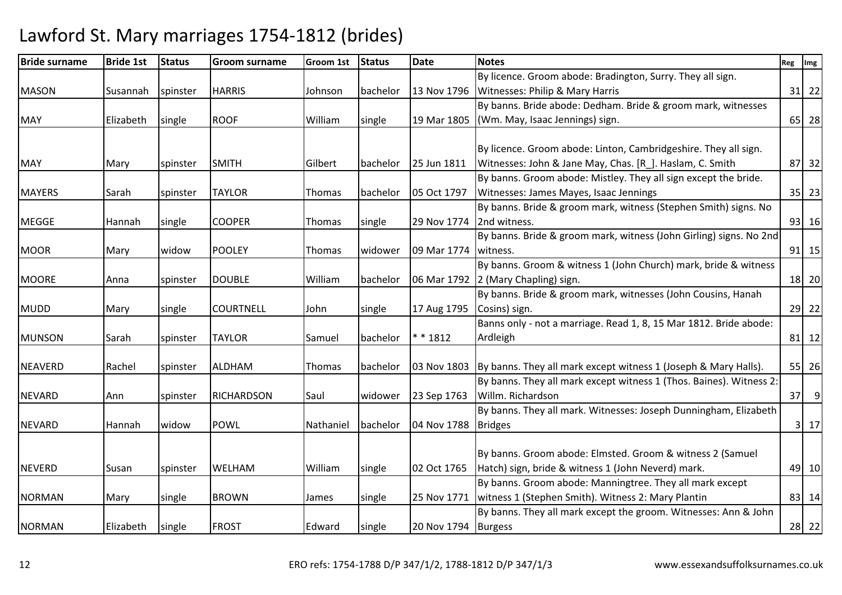| <b>Bride surname</b> | <b>Bride 1st</b> | <b>Status</b> | <b>Groom surname</b> | Groom 1st | <b>Status</b> | Date                | <b>Notes</b>                                                                | Reg | Img         |
|----------------------|------------------|---------------|----------------------|-----------|---------------|---------------------|-----------------------------------------------------------------------------|-----|-------------|
|                      |                  |               |                      |           |               |                     | By licence. Groom abode: Bradington, Surry. They all sign.                  |     |             |
| <b>MASON</b>         | Susannah         | spinster      | <b>HARRIS</b>        | Johnson   | bachelor      | 13 Nov 1796         | Witnesses: Philip & Mary Harris                                             |     | $31$ 22     |
|                      |                  |               |                      |           |               |                     | By banns. Bride abode: Dedham. Bride & groom mark, witnesses                |     |             |
| <b>MAY</b>           | Elizabeth        | single        | <b>ROOF</b>          | William   | single        | 19 Mar 1805         | (Wm. May, Isaac Jennings) sign.                                             |     | 65 28       |
|                      |                  |               |                      |           |               |                     |                                                                             |     |             |
|                      |                  |               |                      |           |               |                     | By licence. Groom abode: Linton, Cambridgeshire. They all sign.             |     |             |
| <b>MAY</b>           | Mary             | spinster      | <b>SMITH</b>         | Gilbert   | bachelor      | 25 Jun 1811         | Witnesses: John & Jane May, Chas. [R_]. Haslam, C. Smith                    |     | 87 32       |
|                      |                  |               |                      |           |               |                     | By banns. Groom abode: Mistley. They all sign except the bride.             |     |             |
| <b>MAYERS</b>        | Sarah            | spinster      | <b>TAYLOR</b>        | Thomas    | bachelor      | 05 Oct 1797         | Witnesses: James Mayes, Isaac Jennings                                      |     | $35$ 23     |
|                      |                  |               |                      |           |               |                     | By banns. Bride & groom mark, witness (Stephen Smith) signs. No             |     |             |
| <b>MEGGE</b>         | Hannah           | single        | <b>COOPER</b>        | Thomas    | single        | 29 Nov 1774         | 2nd witness.                                                                |     | 93 16       |
|                      |                  |               |                      |           |               |                     | By banns. Bride & groom mark, witness (John Girling) signs. No 2nd          |     |             |
| <b>MOOR</b>          | Mary             | widow         | <b>POOLEY</b>        | Thomas    | widower       | 09 Mar 1774         | witness.                                                                    |     | $91$ 15     |
|                      |                  |               |                      |           |               |                     | By banns. Groom & witness 1 (John Church) mark, bride & witness             |     |             |
| <b>MOORE</b>         | Anna             | spinster      | <b>DOUBLE</b>        | William   | bachelor      |                     | 06 Mar 1792 2 (Mary Chapling) sign.                                         |     | 18 20       |
|                      |                  |               |                      |           |               |                     | By banns. Bride & groom mark, witnesses (John Cousins, Hanah                |     |             |
| <b>MUDD</b>          | Mary             | single        | <b>COURTNELL</b>     | John      | single        | 17 Aug 1795         | Cosins) sign.                                                               |     | 29 22       |
|                      |                  |               |                      |           |               |                     | Banns only - not a marriage. Read 1, 8, 15 Mar 1812. Bride abode:           |     |             |
| <b>MUNSON</b>        | Sarah            | spinster      | <b>TAYLOR</b>        | Samuel    | bachelor      | $* * 1812$          | Ardleigh                                                                    |     | 81 12       |
|                      |                  |               |                      |           |               |                     |                                                                             |     |             |
| <b>NEAVERD</b>       | Rachel           | spinster      | ALDHAM               | Thomas    | bachelor      |                     | 03 Nov 1803 By banns. They all mark except witness 1 (Joseph & Mary Halls). |     | 55 26       |
|                      |                  |               |                      |           |               |                     | By banns. They all mark except witness 1 (Thos. Baines). Witness 2:         |     |             |
| <b>NEVARD</b>        | Ann              | spinster      | <b>RICHARDSON</b>    | Saul      | widower       | 23 Sep 1763         | Willm. Richardson                                                           |     | $37$ 9      |
|                      |                  |               |                      |           |               |                     | By banns. They all mark. Witnesses: Joseph Dunningham, Elizabeth            |     |             |
| <b>NEVARD</b>        | Hannah           | widow         | <b>POWL</b>          | Nathaniel | bachelor      | 04 Nov 1788         | <b>Bridges</b>                                                              |     | $3 \mid 17$ |
|                      |                  |               |                      |           |               |                     |                                                                             |     |             |
|                      |                  |               |                      |           |               |                     | By banns. Groom abode: Elmsted. Groom & witness 2 (Samuel                   |     |             |
| <b>NEVERD</b>        | Susan            | spinster      | <b>WELHAM</b>        | William   | single        | 02 Oct 1765         | Hatch) sign, bride & witness 1 (John Neverd) mark.                          |     | 49 10       |
|                      |                  |               |                      |           |               |                     | By banns. Groom abode: Manningtree. They all mark except                    |     |             |
| <b>NORMAN</b>        | Mary             | single        | <b>BROWN</b>         | James     | single        | 25 Nov 1771         | witness 1 (Stephen Smith). Witness 2: Mary Plantin                          |     | 83 14       |
|                      |                  |               |                      |           |               |                     | By banns. They all mark except the groom. Witnesses: Ann & John             |     |             |
| <b>NORMAN</b>        | Elizabeth        | single        | <b>FROST</b>         | Edward    | single        | 20 Nov 1794 Burgess |                                                                             |     | 28 22       |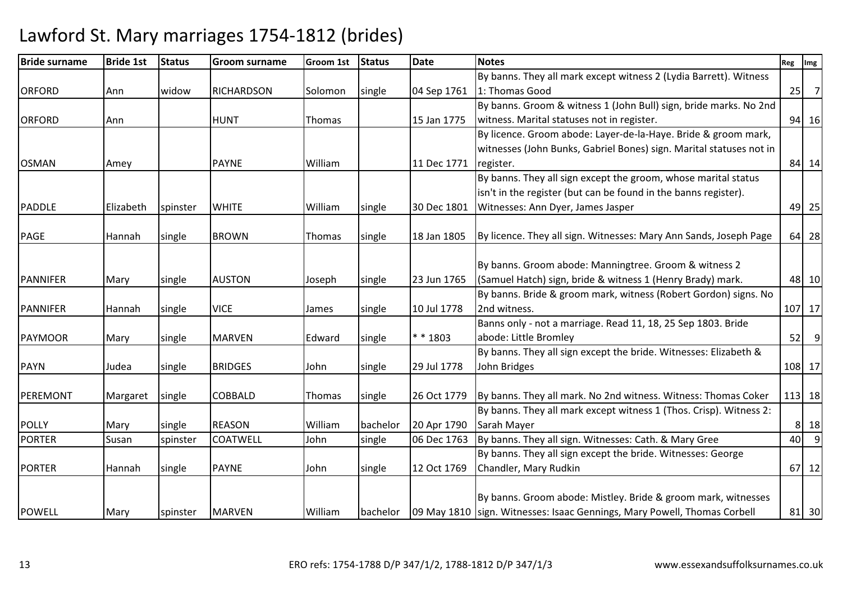| <b>Bride surname</b> | <b>Bride 1st</b> | <b>Status</b> | <b>Groom surname</b> | Groom 1st | <b>Status</b> | Date        | <b>Notes</b>                                                               | Reg | Img            |
|----------------------|------------------|---------------|----------------------|-----------|---------------|-------------|----------------------------------------------------------------------------|-----|----------------|
|                      |                  |               |                      |           |               |             | By banns. They all mark except witness 2 (Lydia Barrett). Witness          |     |                |
| <b>ORFORD</b>        | Ann              | widow         | <b>RICHARDSON</b>    | Solomon   | single        | 04 Sep 1761 | 1: Thomas Good                                                             | 25  | $\overline{7}$ |
|                      |                  |               |                      |           |               |             | By banns. Groom & witness 1 (John Bull) sign, bride marks. No 2nd          |     |                |
| <b>ORFORD</b>        | Ann              |               | <b>HUNT</b>          | Thomas    |               | 15 Jan 1775 | witness. Marital statuses not in register.                                 |     | 94 16          |
|                      |                  |               |                      |           |               |             | By licence. Groom abode: Layer-de-la-Haye. Bride & groom mark,             |     |                |
|                      |                  |               |                      |           |               |             | witnesses (John Bunks, Gabriel Bones) sign. Marital statuses not in        |     |                |
| <b>OSMAN</b>         | Amey             |               | <b>PAYNE</b>         | William   |               | 11 Dec 1771 | register.                                                                  |     | 84 14          |
|                      |                  |               |                      |           |               |             | By banns. They all sign except the groom, whose marital status             |     |                |
|                      |                  |               |                      |           |               |             | isn't in the register (but can be found in the banns register).            |     |                |
| <b>PADDLE</b>        | Elizabeth        | spinster      | <b>WHITE</b>         | William   | single        | 30 Dec 1801 | Witnesses: Ann Dyer, James Jasper                                          |     | 49 25          |
|                      |                  |               |                      |           |               |             |                                                                            |     |                |
| <b>PAGE</b>          | Hannah           | single        | <b>BROWN</b>         | Thomas    | single        | 18 Jan 1805 | By licence. They all sign. Witnesses: Mary Ann Sands, Joseph Page          |     | 64 28          |
|                      |                  |               |                      |           |               |             |                                                                            |     |                |
|                      |                  |               |                      |           |               |             | By banns. Groom abode: Manningtree. Groom & witness 2                      |     |                |
| <b>PANNIFER</b>      | Mary             | single        | <b>AUSTON</b>        | Joseph    | single        | 23 Jun 1765 | (Samuel Hatch) sign, bride & witness 1 (Henry Brady) mark.                 |     | 48 10          |
|                      |                  |               |                      |           |               |             | By banns. Bride & groom mark, witness (Robert Gordon) signs. No            |     |                |
| <b>PANNIFER</b>      | Hannah           | single        | <b>VICE</b>          | James     | single        | 10 Jul 1778 | 2nd witness.                                                               |     | 107 17         |
|                      |                  |               |                      |           |               |             | Banns only - not a marriage. Read 11, 18, 25 Sep 1803. Bride               |     |                |
| <b>PAYMOOR</b>       | Mary             | single        | <b>MARVEN</b>        | Edward    | single        | ** 1803     | abode: Little Bromley                                                      |     | $52$ 9         |
|                      |                  |               |                      |           |               |             | By banns. They all sign except the bride. Witnesses: Elizabeth &           |     |                |
| <b>PAYN</b>          | Judea            | single        | <b>BRIDGES</b>       | John      | single        | 29 Jul 1778 | John Bridges                                                               |     | 108 17         |
|                      |                  |               |                      |           |               |             |                                                                            |     |                |
| PEREMONT             | Margaret         | single        | <b>COBBALD</b>       | Thomas    | single        | 26 Oct 1779 | By banns. They all mark. No 2nd witness. Witness: Thomas Coker             |     | 113 18         |
|                      |                  |               |                      |           |               |             | By banns. They all mark except witness 1 (Thos. Crisp). Witness 2:         |     |                |
| <b>POLLY</b>         | Mary             | single        | <b>REASON</b>        | William   | bachelor      | 20 Apr 1790 | Sarah Mayer                                                                |     | 8 18           |
| <b>PORTER</b>        | Susan            | spinster      | <b>COATWELL</b>      | John      | single        | 06 Dec 1763 | By banns. They all sign. Witnesses: Cath. & Mary Gree                      | 40  | $^{\circ}$ 9   |
|                      |                  |               |                      |           |               |             | By banns. They all sign except the bride. Witnesses: George                |     |                |
| <b>PORTER</b>        | Hannah           | single        | <b>PAYNE</b>         | John      | single        | 12 Oct 1769 | Chandler, Mary Rudkin                                                      |     | 67 12          |
|                      |                  |               |                      |           |               |             |                                                                            |     |                |
|                      |                  |               |                      |           |               |             | By banns. Groom abode: Mistley. Bride & groom mark, witnesses              |     |                |
| <b>POWELL</b>        | Mary             | spinster      | <b>MARVEN</b>        | William   | bachelor      |             | 09 May 1810   sign. Witnesses: Isaac Gennings, Mary Powell, Thomas Corbell |     | 81 30          |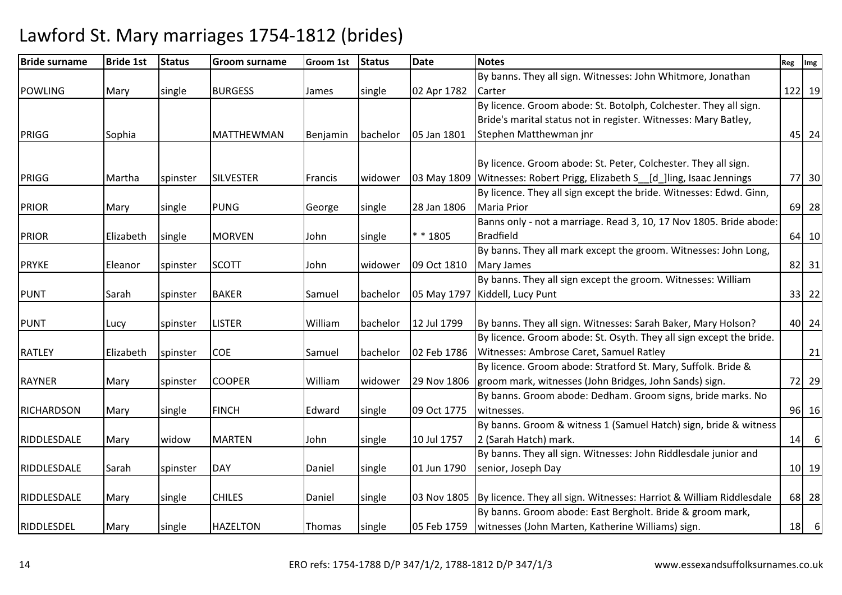| <b>Bride surname</b> | <b>Bride 1st</b> | <b>Status</b> | <b>Groom surname</b> | Groom 1st       | <b>Status</b> | <b>Date</b> | <b>Notes</b>                                                        | Reg Img |         |
|----------------------|------------------|---------------|----------------------|-----------------|---------------|-------------|---------------------------------------------------------------------|---------|---------|
|                      |                  |               |                      |                 |               |             | By banns. They all sign. Witnesses: John Whitmore, Jonathan         |         |         |
| <b>POWLING</b>       | Mary             | single        | <b>BURGESS</b>       | James           | single        | 02 Apr 1782 | Carter                                                              |         | 122 19  |
|                      |                  |               |                      |                 |               |             | By licence. Groom abode: St. Botolph, Colchester. They all sign.    |         |         |
|                      |                  |               |                      |                 |               |             | Bride's marital status not in register. Witnesses: Mary Batley,     |         |         |
| PRIGG                | Sophia           |               | <b>MATTHEWMAN</b>    | <b>Benjamin</b> | bachelor      | 05 Jan 1801 | Stephen Matthewman jnr                                              |         | 45 24   |
|                      |                  |               |                      |                 |               |             | By licence. Groom abode: St. Peter, Colchester. They all sign.      |         |         |
| <b>PRIGG</b>         | Martha           | spinster      | <b>SILVESTER</b>     | Francis         | widower       | 03 May 1809 | Witnesses: Robert Prigg, Elizabeth S_[d_]ling, Isaac Jennings       |         | 77 30   |
|                      |                  |               |                      |                 |               |             | By licence. They all sign except the bride. Witnesses: Edwd. Ginn,  |         |         |
| <b>PRIOR</b>         | Mary             | single        | <b>PUNG</b>          | George          | single        | 28 Jan 1806 | <b>Maria Prior</b>                                                  |         | 69 28   |
|                      |                  |               |                      |                 |               |             | Banns only - not a marriage. Read 3, 10, 17 Nov 1805. Bride abode:  |         |         |
| <b>PRIOR</b>         | Elizabeth        | single        | <b>MORVEN</b>        | John            | single        | $* * 1805$  | <b>Bradfield</b>                                                    |         | 64 10   |
|                      |                  |               |                      |                 |               |             | By banns. They all mark except the groom. Witnesses: John Long,     |         |         |
| <b>PRYKE</b>         | Eleanor          | spinster      | <b>SCOTT</b>         | John            | widower       | 09 Oct 1810 | <b>Mary James</b>                                                   |         | 82 31   |
|                      |                  |               |                      |                 |               |             | By banns. They all sign except the groom. Witnesses: William        |         |         |
| <b>PUNT</b>          | Sarah            | spinster      | <b>BAKER</b>         | Samuel          | bachelor      |             | 05 May 1797 Kiddell, Lucy Punt                                      |         | 33 22   |
|                      |                  |               |                      |                 |               |             |                                                                     |         |         |
| <b>PUNT</b>          | Lucy             | spinster      | <b>LISTER</b>        | William         | bachelor      | 12 Jul 1799 | By banns. They all sign. Witnesses: Sarah Baker, Mary Holson?       |         | 40 24   |
|                      |                  |               |                      |                 |               |             | By licence. Groom abode: St. Osyth. They all sign except the bride. |         |         |
| <b>RATLEY</b>        | Elizabeth        | spinster      | <b>COE</b>           | Samuel          | bachelor      | 02 Feb 1786 | Witnesses: Ambrose Caret, Samuel Ratley                             |         | 21      |
|                      |                  |               |                      |                 |               |             | By licence. Groom abode: Stratford St. Mary, Suffolk. Bride &       |         |         |
| <b>RAYNER</b>        | Mary             | spinster      | <b>COOPER</b>        | William         | widower       | 29 Nov 1806 | groom mark, witnesses (John Bridges, John Sands) sign.              |         | 72 29   |
|                      |                  |               |                      |                 |               |             | By banns. Groom abode: Dedham. Groom signs, bride marks. No         |         |         |
| <b>RICHARDSON</b>    | Mary             | single        | <b>FINCH</b>         | Edward          | single        | 09 Oct 1775 | witnesses.                                                          |         | 96 16   |
|                      |                  |               |                      |                 |               |             | By banns. Groom & witness 1 (Samuel Hatch) sign, bride & witness    |         |         |
| RIDDLESDALE          | Mary             | widow         | <b>MARTEN</b>        | John            | single        | 10 Jul 1757 | 2 (Sarah Hatch) mark.                                               |         | $14$ 6  |
|                      |                  |               |                      |                 |               |             | By banns. They all sign. Witnesses: John Riddlesdale junior and     |         |         |
| RIDDLESDALE          | Sarah            | spinster      | <b>DAY</b>           | Daniel          | single        | 01 Jun 1790 | senior, Joseph Day                                                  |         | $10$ 19 |
|                      |                  |               |                      |                 |               |             |                                                                     |         |         |
| RIDDLESDALE          | Mary             | single        | <b>CHILES</b>        | Daniel          | single        | 03 Nov 1805 | By licence. They all sign. Witnesses: Harriot & William Riddlesdale |         | 68 28   |
|                      |                  |               |                      |                 |               |             | By banns. Groom abode: East Bergholt. Bride & groom mark,           |         |         |
| RIDDLESDEL           | Mary             | single        | <b>HAZELTON</b>      | Thomas          | single        |             | 05 Feb 1759   witnesses (John Marten, Katherine Williams) sign.     |         | $18$ 6  |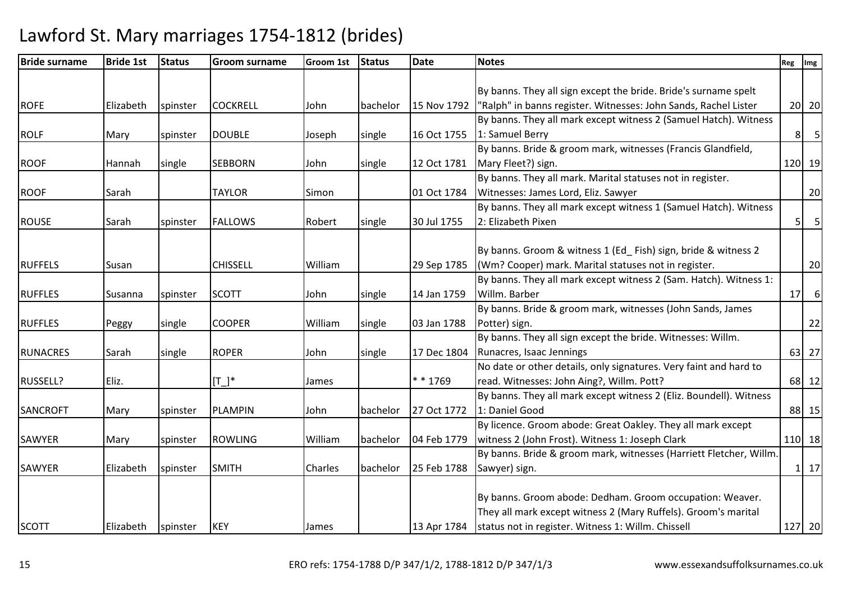Lawford St. Mary marriages 1754-1812 (brides)

| <b>Bride surname</b> | <b>Bride 1st</b> | <b>Status</b> | <b>Groom surname</b> | <b>Groom 1st</b> | <b>Status</b> | <b>Date</b> | <b>Notes</b>                                                       | Reg            | Img               |
|----------------------|------------------|---------------|----------------------|------------------|---------------|-------------|--------------------------------------------------------------------|----------------|-------------------|
|                      |                  |               |                      |                  |               |             |                                                                    |                |                   |
|                      |                  |               |                      |                  |               |             | By banns. They all sign except the bride. Bride's surname spelt    |                |                   |
| <b>ROFE</b>          | Elizabeth        | spinster      | <b>COCKRELL</b>      | John             | bachelor      | 15 Nov 1792 | "Ralph" in banns register. Witnesses: John Sands, Rachel Lister    |                | $20$ 20           |
|                      |                  |               |                      |                  |               |             | By banns. They all mark except witness 2 (Samuel Hatch). Witness   |                |                   |
| <b>ROLF</b>          | Mary             | spinster      | <b>DOUBLE</b>        | Joseph           | single        | 16 Oct 1755 | 1: Samuel Berry                                                    | 8 <sup>1</sup> | $5\overline{5}$   |
|                      |                  |               |                      |                  |               |             | By banns. Bride & groom mark, witnesses (Francis Glandfield,       |                |                   |
| <b>ROOF</b>          | Hannah           | single        | <b>SEBBORN</b>       | John             | single        | 12 Oct 1781 | Mary Fleet?) sign.                                                 |                | 120 19            |
|                      |                  |               |                      |                  |               |             | By banns. They all mark. Marital statuses not in register.         |                |                   |
| <b>ROOF</b>          | Sarah            |               | <b>TAYLOR</b>        | Simon            |               | 01 Oct 1784 | Witnesses: James Lord, Eliz. Sawyer                                |                | 20                |
|                      |                  |               |                      |                  |               |             | By banns. They all mark except witness 1 (Samuel Hatch). Witness   |                |                   |
| <b>ROUSE</b>         | Sarah            | spinster      | <b>FALLOWS</b>       | Robert           | single        | 30 Jul 1755 | 2: Elizabeth Pixen                                                 | 5              | 5                 |
|                      |                  |               |                      |                  |               |             |                                                                    |                |                   |
|                      |                  |               |                      |                  |               |             | By banns. Groom & witness 1 (Ed_Fish) sign, bride & witness 2      |                |                   |
| <b>RUFFELS</b>       | Susan            |               | <b>CHISSELL</b>      | William          |               | 29 Sep 1785 | (Wm? Cooper) mark. Marital statuses not in register.               |                | 20                |
|                      |                  |               |                      |                  |               |             | By banns. They all mark except witness 2 (Sam. Hatch). Witness 1:  |                |                   |
| <b>RUFFLES</b>       | Susanna          | spinster      | <b>SCOTT</b>         | John             | single        | 14 Jan 1759 | Willm. Barber                                                      | 17             | 6                 |
|                      |                  |               |                      |                  |               |             | By banns. Bride & groom mark, witnesses (John Sands, James         |                |                   |
| <b>RUFFLES</b>       | Peggy            | single        | <b>COOPER</b>        | William          | single        | 03 Jan 1788 | Potter) sign.                                                      |                | 22                |
|                      |                  |               |                      |                  |               |             | By banns. They all sign except the bride. Witnesses: Willm.        |                |                   |
| <b>RUNACRES</b>      | Sarah            | single        | <b>ROPER</b>         | John             | single        | 17 Dec 1804 | Runacres, Isaac Jennings                                           |                | 63 27             |
|                      |                  |               |                      |                  |               |             | No date or other details, only signatures. Very faint and hard to  |                |                   |
| RUSSELL?             | Eliz.            |               | $[T_$ *              | James            |               | ** 1769     | read. Witnesses: John Aing?, Willm. Pott?                          |                | 68 12             |
|                      |                  |               |                      |                  |               |             | By banns. They all mark except witness 2 (Eliz. Boundell). Witness |                |                   |
| <b>SANCROFT</b>      | Mary             | spinster      | <b>PLAMPIN</b>       | John             | bachelor      | 27 Oct 1772 | 1: Daniel Good                                                     |                | 88 15             |
|                      |                  |               |                      |                  |               |             | By licence. Groom abode: Great Oakley. They all mark except        |                |                   |
| SAWYER               | Mary             | spinster      | <b>ROWLING</b>       | William          | bachelor      | 04 Feb 1779 | witness 2 (John Frost). Witness 1: Joseph Clark                    |                | 110 18            |
|                      |                  |               |                      |                  |               |             | By banns. Bride & groom mark, witnesses (Harriett Fletcher, Willm. |                |                   |
| SAWYER               | Elizabeth        | spinster      | <b>SMITH</b>         | Charles          | bachelor      | 25 Feb 1788 | Sawyer) sign.                                                      |                | $1 \overline{17}$ |
|                      |                  |               |                      |                  |               |             |                                                                    |                |                   |
|                      |                  |               |                      |                  |               |             | By banns. Groom abode: Dedham. Groom occupation: Weaver.           |                |                   |
|                      |                  |               |                      |                  |               |             | They all mark except witness 2 (Mary Ruffels). Groom's marital     |                |                   |
| <b>SCOTT</b>         | Elizabeth        | spinster      | <b>KEY</b>           | James            |               |             | 13 Apr 1784   status not in register. Witness 1: Willm. Chissell   |                | 127 20            |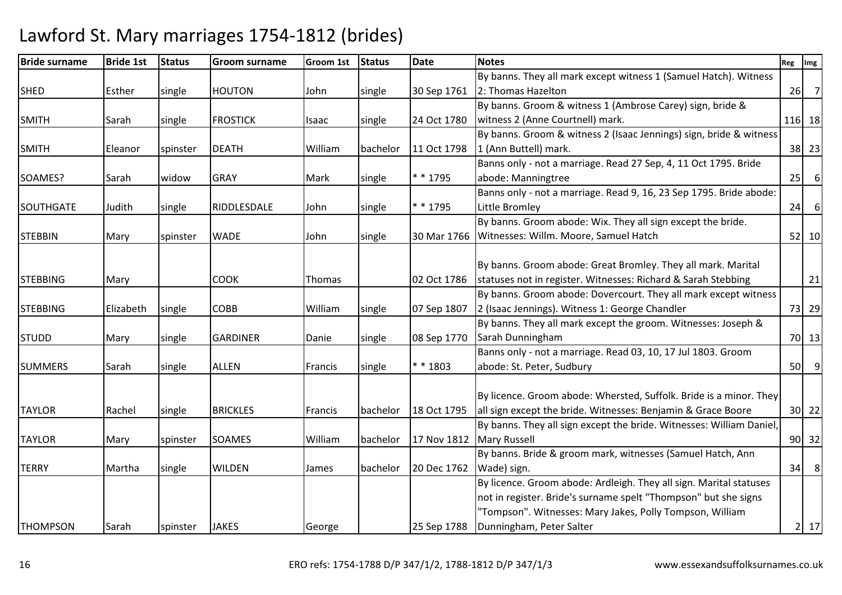| <b>Bride surname</b> | <b>Bride 1st</b> | <b>Status</b> | <b>Groom surname</b> | Groom 1st | <b>Status</b> | <b>Date</b> | <b>Notes</b>                                                         | Reg | Img              |
|----------------------|------------------|---------------|----------------------|-----------|---------------|-------------|----------------------------------------------------------------------|-----|------------------|
|                      |                  |               |                      |           |               |             | By banns. They all mark except witness 1 (Samuel Hatch). Witness     |     |                  |
| <b>SHED</b>          | Esther           | single        | <b>HOUTON</b>        | John      | single        | 30 Sep 1761 | 2: Thomas Hazelton                                                   |     | $26$ 7           |
|                      |                  |               |                      |           |               |             | By banns. Groom & witness 1 (Ambrose Carey) sign, bride &            |     |                  |
| <b>SMITH</b>         | Sarah            | single        | <b>FROSTICK</b>      | Isaac     | single        | 24 Oct 1780 | witness 2 (Anne Courtnell) mark.                                     |     | 116 18           |
|                      |                  |               |                      |           |               |             | By banns. Groom & witness 2 (Isaac Jennings) sign, bride & witness   |     |                  |
| <b>SMITH</b>         | Eleanor          | spinster      | <b>DEATH</b>         | William   | bachelor      | 11 Oct 1798 | 1 (Ann Buttell) mark.                                                |     | 38 23            |
|                      |                  |               |                      |           |               |             | Banns only - not a marriage. Read 27 Sep, 4, 11 Oct 1795. Bride      |     |                  |
| SOAMES?              | Sarah            | widow         | <b>GRAY</b>          | Mark      | single        | * * 1795    | abode: Manningtree                                                   |     | $25$ 6           |
|                      |                  |               |                      |           |               |             | Banns only - not a marriage. Read 9, 16, 23 Sep 1795. Bride abode:   |     |                  |
| <b>SOUTHGATE</b>     | Judith           | single        | RIDDLESDALE          | John      | single        | $* * 1795$  | Little Bromley                                                       | 24  | $6 \overline{6}$ |
|                      |                  |               |                      |           |               |             | By banns. Groom abode: Wix. They all sign except the bride.          |     |                  |
| <b>STEBBIN</b>       | Mary             | spinster      | <b>WADE</b>          | John      | single        | 30 Mar 1766 | Witnesses: Willm. Moore, Samuel Hatch                                |     | 52 10            |
|                      |                  |               |                      |           |               |             |                                                                      |     |                  |
|                      |                  |               |                      |           |               |             | By banns. Groom abode: Great Bromley. They all mark. Marital         |     |                  |
| <b>STEBBING</b>      | Mary             |               | <b>COOK</b>          | Thomas    |               | 02 Oct 1786 | statuses not in register. Witnesses: Richard & Sarah Stebbing        |     | 21               |
|                      |                  |               |                      |           |               |             | By banns. Groom abode: Dovercourt. They all mark except witness      |     |                  |
| <b>STEBBING</b>      | Elizabeth        | single        | <b>COBB</b>          | William   | single        | 07 Sep 1807 | 2 (Isaac Jennings). Witness 1: George Chandler                       |     | 73 29            |
|                      |                  |               |                      |           |               |             | By banns. They all mark except the groom. Witnesses: Joseph &        |     |                  |
| <b>STUDD</b>         | Mary             | single        | <b>GARDINER</b>      | Danie     | single        | 08 Sep 1770 | Sarah Dunningham                                                     |     | 70 13            |
|                      |                  |               |                      |           |               |             | Banns only - not a marriage. Read 03, 10, 17 Jul 1803. Groom         |     |                  |
| <b>SUMMERS</b>       | Sarah            | single        | <b>ALLEN</b>         | Francis   | single        | ** 1803     | abode: St. Peter, Sudbury                                            |     | $50$ 9           |
|                      |                  |               |                      |           |               |             |                                                                      |     |                  |
|                      |                  |               |                      |           |               |             | By licence. Groom abode: Whersted, Suffolk. Bride is a minor. They   |     |                  |
| <b>TAYLOR</b>        | Rachel           | single        | <b>BRICKLES</b>      | Francis   | bachelor      | 18 Oct 1795 | all sign except the bride. Witnesses: Benjamin & Grace Boore         |     | 30 22            |
|                      |                  |               |                      |           |               |             | By banns. They all sign except the bride. Witnesses: William Daniel, |     |                  |
| <b>TAYLOR</b>        | Mary             | spinster      | <b>SOAMES</b>        | William   | bachelor      | 17 Nov 1812 | <b>Mary Russell</b>                                                  |     | $90$ 32          |
|                      |                  |               |                      |           |               |             | By banns. Bride & groom mark, witnesses (Samuel Hatch, Ann           |     |                  |
| <b>TERRY</b>         | Martha           | single        | <b>WILDEN</b>        | James     | bachelor      | 20 Dec 1762 | Wade) sign.                                                          | 34  | 8                |
|                      |                  |               |                      |           |               |             | By licence. Groom abode: Ardleigh. They all sign. Marital statuses   |     |                  |
|                      |                  |               |                      |           |               |             | not in register. Bride's surname spelt "Thompson" but she signs      |     |                  |
|                      |                  |               |                      |           |               |             | "Tompson". Witnesses: Mary Jakes, Polly Tompson, William             |     |                  |
| <b>THOMPSON</b>      | Sarah            | spinster      | <b>JAKES</b>         | George    |               |             | 25 Sep 1788   Dunningham, Peter Salter                               |     | $2$   17         |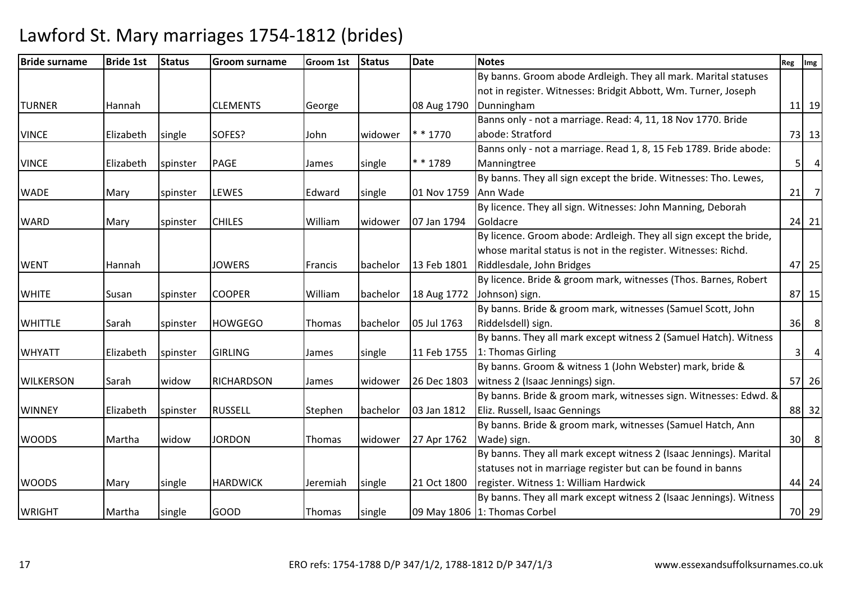| <b>Bride surname</b> | <b>Bride 1st</b> | <b>Status</b> | <b>Groom surname</b> | <b>Groom 1st</b> | Status   | <b>Date</b> | <b>Notes</b>                                                       | Reg | Img                 |
|----------------------|------------------|---------------|----------------------|------------------|----------|-------------|--------------------------------------------------------------------|-----|---------------------|
|                      |                  |               |                      |                  |          |             | By banns. Groom abode Ardleigh. They all mark. Marital statuses    |     |                     |
|                      |                  |               |                      |                  |          |             | not in register. Witnesses: Bridgit Abbott, Wm. Turner, Joseph     |     |                     |
| <b>TURNER</b>        | Hannah           |               | <b>CLEMENTS</b>      | George           |          | 08 Aug 1790 | Dunningham                                                         |     | $11$ 19             |
|                      |                  |               |                      |                  |          |             | Banns only - not a marriage. Read: 4, 11, 18 Nov 1770. Bride       |     |                     |
| <b>VINCE</b>         | Elizabeth        | single        | SOFES?               | John             | widower  | * * 1770    | abode: Stratford                                                   |     | 73 13               |
|                      |                  |               |                      |                  |          |             | Banns only - not a marriage. Read 1, 8, 15 Feb 1789. Bride abode:  |     |                     |
| <b>VINCE</b>         | Elizabeth        | spinster      | <b>PAGE</b>          | James            | single   | * * 1789    | Manningtree                                                        |     | $\overline{4}$<br>5 |
|                      |                  |               |                      |                  |          |             | By banns. They all sign except the bride. Witnesses: Tho. Lewes,   |     |                     |
| <b>WADE</b>          | Mary             | spinster      | <b>LEWES</b>         | Edward           | single   | 01 Nov 1759 | Ann Wade                                                           | 21  | $\overline{7}$      |
|                      |                  |               |                      |                  |          |             | By licence. They all sign. Witnesses: John Manning, Deborah        |     |                     |
| <b>WARD</b>          | Mary             | spinster      | <b>CHILES</b>        | William          | widower  | 07 Jan 1794 | Goldacre                                                           |     | 24 21               |
|                      |                  |               |                      |                  |          |             | By licence. Groom abode: Ardleigh. They all sign except the bride, |     |                     |
|                      |                  |               |                      |                  |          |             | whose marital status is not in the register. Witnesses: Richd.     |     |                     |
| <b>WENT</b>          | Hannah           |               | <b>JOWERS</b>        | Francis          | bachelor | 13 Feb 1801 | Riddlesdale, John Bridges                                          |     | 47 25               |
|                      |                  |               |                      |                  |          |             | By licence. Bride & groom mark, witnesses (Thos. Barnes, Robert    |     |                     |
| <b>WHITE</b>         | Susan            | spinster      | <b>COOPER</b>        | William          | bachelor | 18 Aug 1772 | Johnson) sign.                                                     |     | 87 15               |
|                      |                  |               |                      |                  |          |             | By banns. Bride & groom mark, witnesses (Samuel Scott, John        |     |                     |
| <b>WHITTLE</b>       | Sarah            | spinster      | <b>HOWGEGO</b>       | Thomas           | bachelor | 05 Jul 1763 | Riddelsdell) sign.                                                 | 36  | 8 <sup>8</sup>      |
|                      |                  |               |                      |                  |          |             | By banns. They all mark except witness 2 (Samuel Hatch). Witness   |     |                     |
| <b>WHYATT</b>        | Elizabeth        | spinster      | <b>GIRLING</b>       | James            | single   | 11 Feb 1755 | 1: Thomas Girling                                                  |     | $\overline{4}$<br>3 |
|                      |                  |               |                      |                  |          |             | By banns. Groom & witness 1 (John Webster) mark, bride &           |     |                     |
| <b>WILKERSON</b>     | Sarah            | widow         | <b>RICHARDSON</b>    | James            | widower  | 26 Dec 1803 | witness 2 (Isaac Jennings) sign.                                   |     | 57 26               |
|                      |                  |               |                      |                  |          |             | By banns. Bride & groom mark, witnesses sign. Witnesses: Edwd. &   |     |                     |
| <b>WINNEY</b>        | Elizabeth        | spinster      | <b>RUSSELL</b>       | Stephen          | bachelor | 03 Jan 1812 | Eliz. Russell, Isaac Gennings                                      |     | 88 32               |
|                      |                  |               |                      |                  |          |             | By banns. Bride & groom mark, witnesses (Samuel Hatch, Ann         |     |                     |
| <b>WOODS</b>         | Martha           | widow         | <b>JORDON</b>        | Thomas           | widower  | 27 Apr 1762 | Wade) sign.                                                        |     | $30$ 8              |
|                      |                  |               |                      |                  |          |             | By banns. They all mark except witness 2 (Isaac Jennings). Marital |     |                     |
|                      |                  |               |                      |                  |          |             | statuses not in marriage register but can be found in banns        |     |                     |
| <b>WOODS</b>         | Mary             | single        | <b>HARDWICK</b>      | Jeremiah         | single   | 21 Oct 1800 | register. Witness 1: William Hardwick                              |     | 44 24               |
|                      |                  |               |                      |                  |          |             | By banns. They all mark except witness 2 (Isaac Jennings). Witness |     |                     |
| <b>WRIGHT</b>        | Martha           | single        | <b>GOOD</b>          | Thomas           | single   |             | 09 May 1806 1: Thomas Corbel                                       |     | 70 29               |